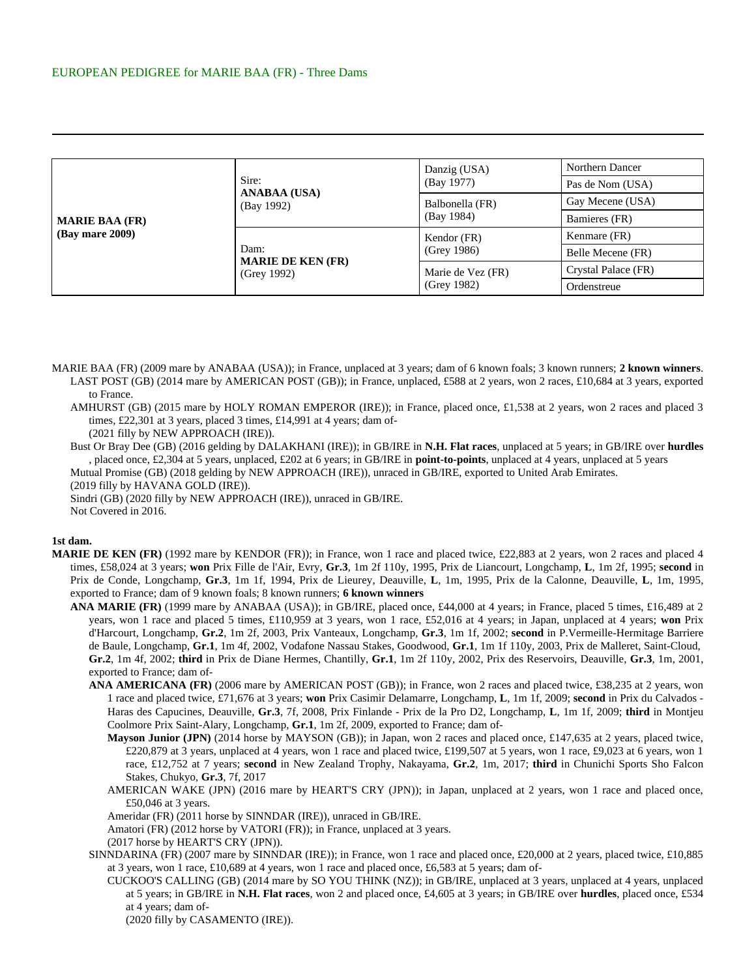| <b>MARIE BAA (FR)</b><br>(Bay mare 2009) |                                                 | Danzig (USA)                  | Northern Dancer     |
|------------------------------------------|-------------------------------------------------|-------------------------------|---------------------|
|                                          | Sire:<br><b>ANABAA (USA)</b><br>(Bay 1992)      | (Bay 1977)                    | Pas de Nom (USA)    |
|                                          |                                                 | Balbonella (FR)<br>(Bay 1984) | Gay Mecene (USA)    |
|                                          |                                                 |                               | Bamieres (FR)       |
|                                          | Dam:<br><b>MARIE DE KEN (FR)</b><br>(Grey 1992) | Kendor (FR)<br>(Grey 1986)    | Kenmare (FR)        |
|                                          |                                                 |                               | Belle Mecene (FR)   |
|                                          |                                                 | Marie de Vez (FR)             | Crystal Palace (FR) |
|                                          |                                                 | (Grey 1982)                   | Ordenstreue         |

- MARIE BAA (FR) (2009 mare by ANABAA (USA)); in France, unplaced at 3 years; dam of 6 known foals; 3 known runners; **2 known winners**. LAST POST (GB) (2014 mare by AMERICAN POST (GB)); in France, unplaced, £588 at 2 years, won 2 races, £10,684 at 3 years, exported to France.
	- AMHURST (GB) (2015 mare by HOLY ROMAN EMPEROR (IRE)); in France, placed once, £1,538 at 2 years, won 2 races and placed 3 times, £22,301 at 3 years, placed 3 times, £14,991 at 4 years; dam of-

(2021 filly by NEW APPROACH (IRE)).

Bust Or Bray Dee (GB) (2016 gelding by DALAKHANI (IRE)); in GB/IRE in **N.H. Flat races**, unplaced at 5 years; in GB/IRE over **hurdles** , placed once, £2,304 at 5 years, unplaced, £202 at 6 years; in GB/IRE in **point-to-points**, unplaced at 4 years, unplaced at 5 years Mutual Promise (GB) (2018 gelding by NEW APPROACH (IRE)), unraced in GB/IRE, exported to United Arab Emirates.

(2019 filly by HAVANA GOLD (IRE)).

Sindri (GB) (2020 filly by NEW APPROACH (IRE)), unraced in GB/IRE.

Not Covered in 2016.

## **1st dam.**

- **MARIE DE KEN (FR)** (1992 mare by KENDOR (FR)); in France, won 1 race and placed twice, £22,883 at 2 years, won 2 races and placed 4 times, £58,024 at 3 years; **won** Prix Fille de l'Air, Evry, **Gr.3**, 1m 2f 110y, 1995, Prix de Liancourt, Longchamp, **L**, 1m 2f, 1995; **second** in Prix de Conde, Longchamp, **Gr.3**, 1m 1f, 1994, Prix de Lieurey, Deauville, **L**, 1m, 1995, Prix de la Calonne, Deauville, **L**, 1m, 1995, exported to France; dam of 9 known foals; 8 known runners; **6 known winners**
	- **ANA MARIE (FR)** (1999 mare by ANABAA (USA)); in GB/IRE, placed once, £44,000 at 4 years; in France, placed 5 times, £16,489 at 2 years, won 1 race and placed 5 times, £110,959 at 3 years, won 1 race, £52,016 at 4 years; in Japan, unplaced at 4 years; **won** Prix d'Harcourt, Longchamp, **Gr.2**, 1m 2f, 2003, Prix Vanteaux, Longchamp, **Gr.3**, 1m 1f, 2002; **second** in P.Vermeille-Hermitage Barriere de Baule, Longchamp, **Gr.1**, 1m 4f, 2002, Vodafone Nassau Stakes, Goodwood, **Gr.1**, 1m 1f 110y, 2003, Prix de Malleret, Saint-Cloud, **Gr.2**, 1m 4f, 2002; **third** in Prix de Diane Hermes, Chantilly, **Gr.1**, 1m 2f 110y, 2002, Prix des Reservoirs, Deauville, **Gr.3**, 1m, 2001, exported to France; dam of-
		- **ANA AMERICANA (FR)** (2006 mare by AMERICAN POST (GB)); in France, won 2 races and placed twice, £38,235 at 2 years, won 1 race and placed twice, £71,676 at 3 years; **won** Prix Casimir Delamarre, Longchamp, **L**, 1m 1f, 2009; **second** in Prix du Calvados - Haras des Capucines, Deauville, **Gr.3**, 7f, 2008, Prix Finlande - Prix de la Pro D2, Longchamp, **L**, 1m 1f, 2009; **third** in Montjeu Coolmore Prix Saint-Alary, Longchamp, **Gr.1**, 1m 2f, 2009, exported to France; dam of-
			- **Mayson Junior (JPN)** (2014 horse by MAYSON (GB)); in Japan, won 2 races and placed once, £147,635 at 2 years, placed twice, £220,879 at 3 years, unplaced at 4 years, won 1 race and placed twice, £199,507 at 5 years, won 1 race, £9,023 at 6 years, won 1 race, £12,752 at 7 years; **second** in New Zealand Trophy, Nakayama, **Gr.2**, 1m, 2017; **third** in Chunichi Sports Sho Falcon Stakes, Chukyo, **Gr.3**, 7f, 2017
			- AMERICAN WAKE (JPN) (2016 mare by HEART'S CRY (JPN)); in Japan, unplaced at 2 years, won 1 race and placed once, £50,046 at 3 years.

Ameridar (FR) (2011 horse by SINNDAR (IRE)), unraced in GB/IRE.

Amatori (FR) (2012 horse by VATORI (FR)); in France, unplaced at 3 years.

(2017 horse by HEART'S CRY (JPN)).

SINNDARINA (FR) (2007 mare by SINNDAR (IRE)); in France, won 1 race and placed once, £20,000 at 2 years, placed twice, £10,885 at 3 years, won 1 race, £10,689 at 4 years, won 1 race and placed once, £6,583 at 5 years; dam of-

CUCKOO'S CALLING (GB) (2014 mare by SO YOU THINK (NZ)); in GB/IRE, unplaced at 3 years, unplaced at 4 years, unplaced at 5 years; in GB/IRE in **N.H. Flat races**, won 2 and placed once, £4,605 at 3 years; in GB/IRE over **hurdles**, placed once, £534 at 4 years; dam of-

(2020 filly by CASAMENTO (IRE)).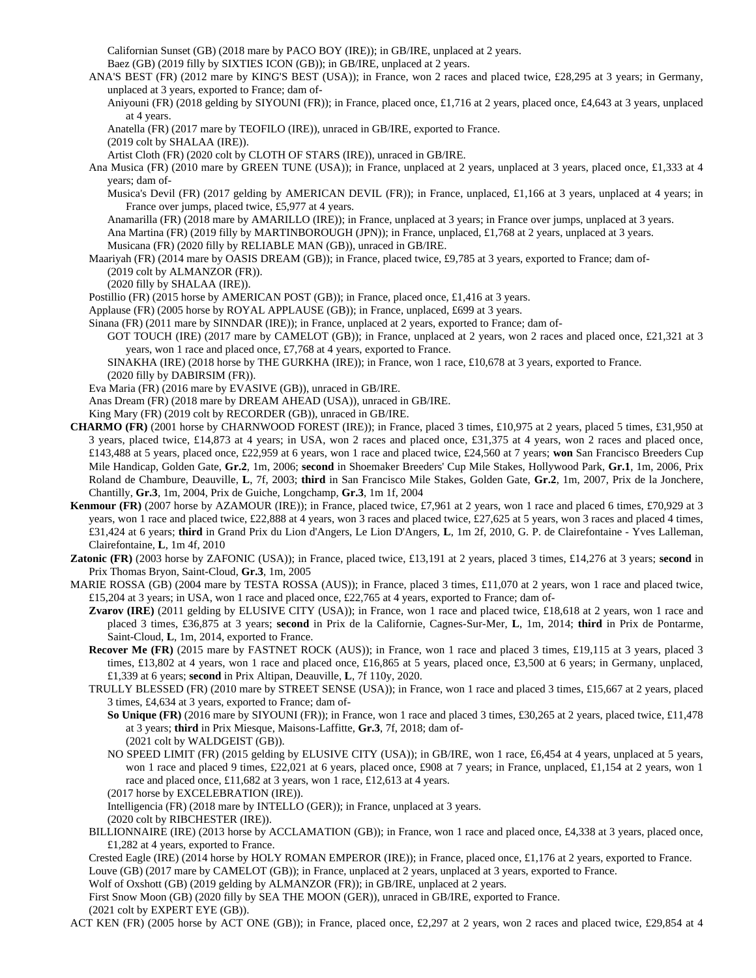Californian Sunset (GB) (2018 mare by PACO BOY (IRE)); in GB/IRE, unplaced at 2 years.

Baez (GB) (2019 filly by SIXTIES ICON (GB)); in GB/IRE, unplaced at 2 years.

- ANA'S BEST (FR) (2012 mare by KING'S BEST (USA)); in France, won 2 races and placed twice, £28,295 at 3 years; in Germany, unplaced at 3 years, exported to France; dam of-
	- Aniyouni (FR) (2018 gelding by SIYOUNI (FR)); in France, placed once, £1,716 at 2 years, placed once, £4,643 at 3 years, unplaced at 4 years.
	- Anatella (FR) (2017 mare by TEOFILO (IRE)), unraced in GB/IRE, exported to France.

(2019 colt by SHALAA (IRE)).

Artist Cloth (FR) (2020 colt by CLOTH OF STARS (IRE)), unraced in GB/IRE.

Ana Musica (FR) (2010 mare by GREEN TUNE (USA)); in France, unplaced at 2 years, unplaced at 3 years, placed once, £1,333 at 4 years; dam of-

Musica's Devil (FR) (2017 gelding by AMERICAN DEVIL (FR)); in France, unplaced, £1,166 at 3 years, unplaced at 4 years; in France over jumps, placed twice, £5,977 at 4 years.

Anamarilla (FR) (2018 mare by AMARILLO (IRE)); in France, unplaced at 3 years; in France over jumps, unplaced at 3 years. Ana Martina (FR) (2019 filly by MARTINBOROUGH (JPN)); in France, unplaced, £1,768 at 2 years, unplaced at 3 years. Musicana (FR) (2020 filly by RELIABLE MAN (GB)), unraced in GB/IRE.

- Maariyah (FR) (2014 mare by OASIS DREAM (GB)); in France, placed twice, £9,785 at 3 years, exported to France; dam of- (2019 colt by ALMANZOR (FR)).
	- (2020 filly by SHALAA (IRE)).

Postillio (FR) (2015 horse by AMERICAN POST (GB)); in France, placed once, £1,416 at 3 years.

Applause (FR) (2005 horse by ROYAL APPLAUSE (GB)); in France, unplaced, £699 at 3 years.

Sinana (FR) (2011 mare by SINNDAR (IRE)); in France, unplaced at 2 years, exported to France; dam of-

GOT TOUCH (IRE) (2017 mare by CAMELOT (GB)); in France, unplaced at 2 years, won 2 races and placed once, £21,321 at 3 years, won 1 race and placed once, £7,768 at 4 years, exported to France.

SINAKHA (IRE) (2018 horse by THE GURKHA (IRE)); in France, won 1 race, £10,678 at 3 years, exported to France.

(2020 filly by DABIRSIM (FR)).

Eva Maria (FR) (2016 mare by EVASIVE (GB)), unraced in GB/IRE.

Anas Dream (FR) (2018 mare by DREAM AHEAD (USA)), unraced in GB/IRE.

King Mary (FR) (2019 colt by RECORDER (GB)), unraced in GB/IRE.

- **CHARMO (FR)** (2001 horse by CHARNWOOD FOREST (IRE)); in France, placed 3 times, £10,975 at 2 years, placed 5 times, £31,950 at 3 years, placed twice, £14,873 at 4 years; in USA, won 2 races and placed once, £31,375 at 4 years, won 2 races and placed once, £143,488 at 5 years, placed once, £22,959 at 6 years, won 1 race and placed twice, £24,560 at 7 years; **won** San Francisco Breeders Cup Mile Handicap, Golden Gate, **Gr.2**, 1m, 2006; **second** in Shoemaker Breeders' Cup Mile Stakes, Hollywood Park, **Gr.1**, 1m, 2006, Prix Roland de Chambure, Deauville, **L**, 7f, 2003; **third** in San Francisco Mile Stakes, Golden Gate, **Gr.2**, 1m, 2007, Prix de la Jonchere, Chantilly, **Gr.3**, 1m, 2004, Prix de Guiche, Longchamp, **Gr.3**, 1m 1f, 2004
- **Kenmour (FR)** (2007 horse by AZAMOUR (IRE)); in France, placed twice, £7,961 at 2 years, won 1 race and placed 6 times, £70,929 at 3 years, won 1 race and placed twice, £22,888 at 4 years, won 3 races and placed twice, £27,625 at 5 years, won 3 races and placed 4 times, £31,424 at 6 years; **third** in Grand Prix du Lion d'Angers, Le Lion D'Angers, **L**, 1m 2f, 2010, G. P. de Clairefontaine - Yves Lalleman, Clairefontaine, **L**, 1m 4f, 2010
- **Zatonic (FR)** (2003 horse by ZAFONIC (USA)); in France, placed twice, £13,191 at 2 years, placed 3 times, £14,276 at 3 years; **second** in Prix Thomas Bryon, Saint-Cloud, **Gr.3**, 1m, 2005
- MARIE ROSSA (GB) (2004 mare by TESTA ROSSA (AUS)); in France, placed 3 times, £11,070 at 2 years, won 1 race and placed twice, £15,204 at 3 years; in USA, won 1 race and placed once, £22,765 at 4 years, exported to France; dam of-

**Zvarov (IRE)** (2011 gelding by ELUSIVE CITY (USA)); in France, won 1 race and placed twice, £18,618 at 2 years, won 1 race and placed 3 times, £36,875 at 3 years; **second** in Prix de la Californie, Cagnes-Sur-Mer, **L**, 1m, 2014; **third** in Prix de Pontarme, Saint-Cloud, **L**, 1m, 2014, exported to France.

**Recover Me (FR)** (2015 mare by FASTNET ROCK (AUS)); in France, won 1 race and placed 3 times, £19,115 at 3 years, placed 3 times, £13,802 at 4 years, won 1 race and placed once, £16,865 at 5 years, placed once, £3,500 at 6 years; in Germany, unplaced, £1,339 at 6 years; **second** in Prix Altipan, Deauville, **L**, 7f 110y, 2020.

TRULLY BLESSED (FR) (2010 mare by STREET SENSE (USA)); in France, won 1 race and placed 3 times, £15,667 at 2 years, placed 3 times, £4,634 at 3 years, exported to France; dam of-

**So Unique (FR)** (2016 mare by SIYOUNI (FR)); in France, won 1 race and placed 3 times, £30,265 at 2 years, placed twice, £11,478 at 3 years; **third** in Prix Miesque, Maisons-Laffitte, **Gr.3**, 7f, 2018; dam of- (2021 colt by WALDGEIST (GB)).

NO SPEED LIMIT (FR) (2015 gelding by ELUSIVE CITY (USA)); in GB/IRE, won 1 race, £6,454 at 4 years, unplaced at 5 years, won 1 race and placed 9 times, £22,021 at 6 years, placed once, £908 at 7 years; in France, unplaced, £1,154 at 2 years, won 1 race and placed once, £11,682 at 3 years, won 1 race, £12,613 at 4 years.

(2017 horse by EXCELEBRATION (IRE)).

Intelligencia (FR) (2018 mare by INTELLO (GER)); in France, unplaced at 3 years.

(2020 colt by RIBCHESTER (IRE)).

- BILLIONNAIRE (IRE) (2013 horse by ACCLAMATION (GB)); in France, won 1 race and placed once, £4,338 at 3 years, placed once, £1,282 at 4 years, exported to France.
- Crested Eagle (IRE) (2014 horse by HOLY ROMAN EMPEROR (IRE)); in France, placed once, £1,176 at 2 years, exported to France. Louve (GB) (2017 mare by CAMELOT (GB)); in France, unplaced at 2 years, unplaced at 3 years, exported to France.

Wolf of Oxshott (GB) (2019 gelding by ALMANZOR (FR)); in GB/IRE, unplaced at 2 years.

First Snow Moon (GB) (2020 filly by SEA THE MOON (GER)), unraced in GB/IRE, exported to France.

(2021 colt by EXPERT EYE (GB)).

ACT KEN (FR) (2005 horse by ACT ONE (GB)); in France, placed once, £2,297 at 2 years, won 2 races and placed twice, £29,854 at 4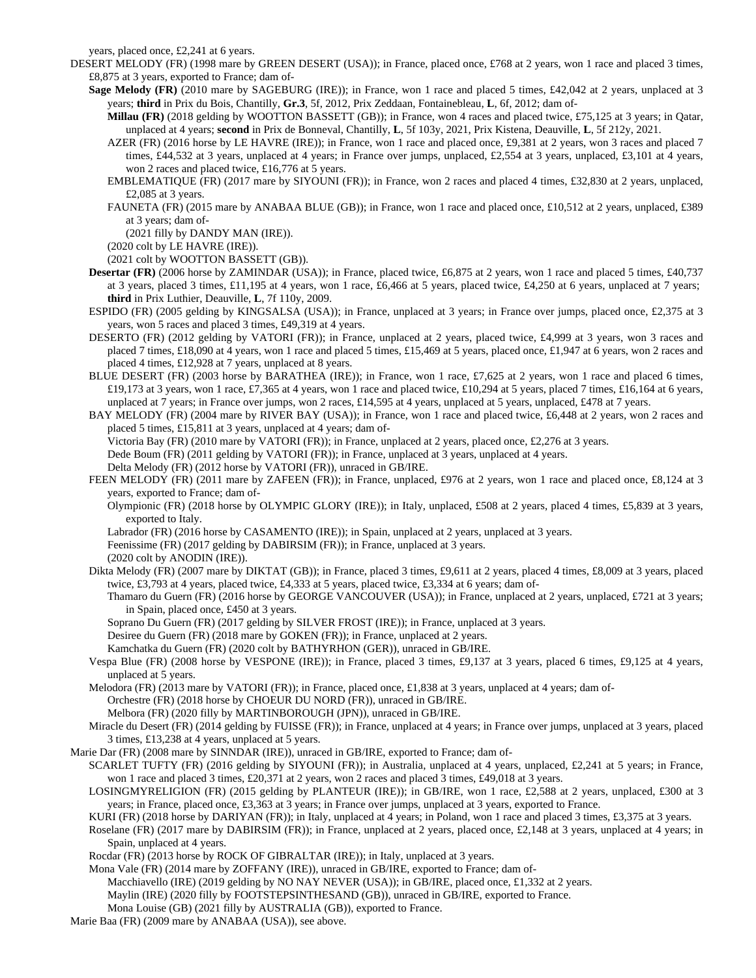years, placed once, £2,241 at 6 years.

- DESERT MELODY (FR) (1998 mare by GREEN DESERT (USA)); in France, placed once, £768 at 2 years, won 1 race and placed 3 times, £8,875 at 3 years, exported to France; dam of-
	- **Sage Melody (FR)** (2010 mare by SAGEBURG (IRE)); in France, won 1 race and placed 5 times, £42,042 at 2 years, unplaced at 3 years; **third** in Prix du Bois, Chantilly, **Gr.3**, 5f, 2012, Prix Zeddaan, Fontainebleau, **L**, 6f, 2012; dam of-
		- **Millau (FR)** (2018 gelding by WOOTTON BASSETT (GB)); in France, won 4 races and placed twice, £75,125 at 3 years; in Qatar, unplaced at 4 years; **second** in Prix de Bonneval, Chantilly, **L**, 5f 103y, 2021, Prix Kistena, Deauville, **L**, 5f 212y, 2021.
		- AZER (FR) (2016 horse by LE HAVRE (IRE)); in France, won 1 race and placed once, £9,381 at 2 years, won 3 races and placed 7 times, £44,532 at 3 years, unplaced at 4 years; in France over jumps, unplaced, £2,554 at 3 years, unplaced, £3,101 at 4 years, won 2 races and placed twice, £16,776 at 5 years.
		- EMBLEMATIQUE (FR) (2017 mare by SIYOUNI (FR)); in France, won 2 races and placed 4 times, £32,830 at 2 years, unplaced, £2,085 at 3 years.
		- FAUNETA (FR) (2015 mare by ANABAA BLUE (GB)); in France, won 1 race and placed once, £10,512 at 2 years, unplaced, £389 at 3 years; dam of-

(2021 filly by DANDY MAN (IRE)).

(2020 colt by LE HAVRE (IRE)).

(2021 colt by WOOTTON BASSETT (GB)).

- **Desertar (FR)** (2006 horse by ZAMINDAR (USA)); in France, placed twice, £6,875 at 2 years, won 1 race and placed 5 times, £40,737 at 3 years, placed 3 times, £11,195 at 4 years, won 1 race, £6,466 at 5 years, placed twice, £4,250 at 6 years, unplaced at 7 years; **third** in Prix Luthier, Deauville, **L**, 7f 110y, 2009.
- ESPIDO (FR) (2005 gelding by KINGSALSA (USA)); in France, unplaced at 3 years; in France over jumps, placed once, £2,375 at 3 years, won 5 races and placed 3 times, £49,319 at 4 years.
- DESERTO (FR) (2012 gelding by VATORI (FR)); in France, unplaced at 2 years, placed twice, £4,999 at 3 years, won 3 races and placed 7 times, £18,090 at 4 years, won 1 race and placed 5 times, £15,469 at 5 years, placed once, £1,947 at 6 years, won 2 races and placed 4 times, £12,928 at 7 years, unplaced at 8 years.
- BLUE DESERT (FR) (2003 horse by BARATHEA (IRE)); in France, won 1 race, £7,625 at 2 years, won 1 race and placed 6 times, £19,173 at 3 years, won 1 race, £7,365 at 4 years, won 1 race and placed twice, £10,294 at 5 years, placed 7 times, £16,164 at 6 years, unplaced at 7 years; in France over jumps, won 2 races, £14,595 at 4 years, unplaced at 5 years, unplaced, £478 at 7 years.

BAY MELODY (FR) (2004 mare by RIVER BAY (USA)); in France, won 1 race and placed twice, £6,448 at 2 years, won 2 races and placed 5 times, £15,811 at 3 years, unplaced at 4 years; dam of-

Victoria Bay (FR) (2010 mare by VATORI (FR)); in France, unplaced at 2 years, placed once, £2,276 at 3 years. Dede Boum (FR) (2011 gelding by VATORI (FR)); in France, unplaced at 3 years, unplaced at 4 years. Delta Melody (FR) (2012 horse by VATORI (FR)), unraced in GB/IRE.

FEEN MELODY (FR) (2011 mare by ZAFEEN (FR)); in France, unplaced, £976 at 2 years, won 1 race and placed once, £8,124 at 3 years, exported to France; dam of-

Olympionic (FR) (2018 horse by OLYMPIC GLORY (IRE)); in Italy, unplaced, £508 at 2 years, placed 4 times, £5,839 at 3 years, exported to Italy.

Labrador (FR) (2016 horse by CASAMENTO (IRE)); in Spain, unplaced at 2 years, unplaced at 3 years.

Feenissime (FR) (2017 gelding by DABIRSIM (FR)); in France, unplaced at 3 years.

(2020 colt by ANODIN (IRE)).

Dikta Melody (FR) (2007 mare by DIKTAT (GB)); in France, placed 3 times, £9,611 at 2 years, placed 4 times, £8,009 at 3 years, placed twice, £3,793 at 4 years, placed twice, £4,333 at 5 years, placed twice, £3,334 at 6 years; dam of-

Thamaro du Guern (FR) (2016 horse by GEORGE VANCOUVER (USA)); in France, unplaced at 2 years, unplaced, £721 at 3 years; in Spain, placed once, £450 at 3 years.

Soprano Du Guern (FR) (2017 gelding by SILVER FROST (IRE)); in France, unplaced at 3 years.

Desiree du Guern (FR) (2018 mare by GOKEN (FR)); in France, unplaced at 2 years.

Kamchatka du Guern (FR) (2020 colt by BATHYRHON (GER)), unraced in GB/IRE.

Vespa Blue (FR) (2008 horse by VESPONE (IRE)); in France, placed 3 times, £9,137 at 3 years, placed 6 times, £9,125 at 4 years, unplaced at 5 years.

Melodora (FR) (2013 mare by VATORI (FR)); in France, placed once, £1,838 at 3 years, unplaced at 4 years; dam of-Orchestre (FR) (2018 horse by CHOEUR DU NORD (FR)), unraced in GB/IRE.

Melbora (FR) (2020 filly by MARTINBOROUGH (JPN)), unraced in GB/IRE.

Miracle du Desert (FR) (2014 gelding by FUISSE (FR)); in France, unplaced at 4 years; in France over jumps, unplaced at 3 years, placed 3 times, £13,238 at 4 years, unplaced at 5 years.

Marie Dar (FR) (2008 mare by SINNDAR (IRE)), unraced in GB/IRE, exported to France; dam of-

SCARLET TUFTY (FR) (2016 gelding by SIYOUNI (FR)); in Australia, unplaced at 4 years, unplaced, £2,241 at 5 years; in France, won 1 race and placed 3 times, £20,371 at 2 years, won 2 races and placed 3 times, £49,018 at 3 years.

LOSINGMYRELIGION (FR) (2015 gelding by PLANTEUR (IRE)); in GB/IRE, won 1 race, £2,588 at 2 years, unplaced, £300 at 3 years; in France, placed once, £3,363 at 3 years; in France over jumps, unplaced at 3 years, exported to France.

KURI (FR) (2018 horse by DARIYAN (FR)); in Italy, unplaced at 4 years; in Poland, won 1 race and placed 3 times, £3,375 at 3 years.

- Roselane (FR) (2017 mare by DABIRSIM (FR)); in France, unplaced at 2 years, placed once, £2,148 at 3 years, unplaced at 4 years; in Spain, unplaced at 4 years.
- Rocdar (FR) (2013 horse by ROCK OF GIBRALTAR (IRE)); in Italy, unplaced at 3 years.

Mona Vale (FR) (2014 mare by ZOFFANY (IRE)), unraced in GB/IRE, exported to France; dam of-

Macchiavello (IRE) (2019 gelding by NO NAY NEVER (USA)); in GB/IRE, placed once, £1,332 at 2 years.

- Maylin (IRE) (2020 filly by FOOTSTEPSINTHESAND (GB)), unraced in GB/IRE, exported to France.
- Mona Louise (GB) (2021 filly by AUSTRALIA (GB)), exported to France.
- Marie Baa (FR) (2009 mare by ANABAA (USA)), see above.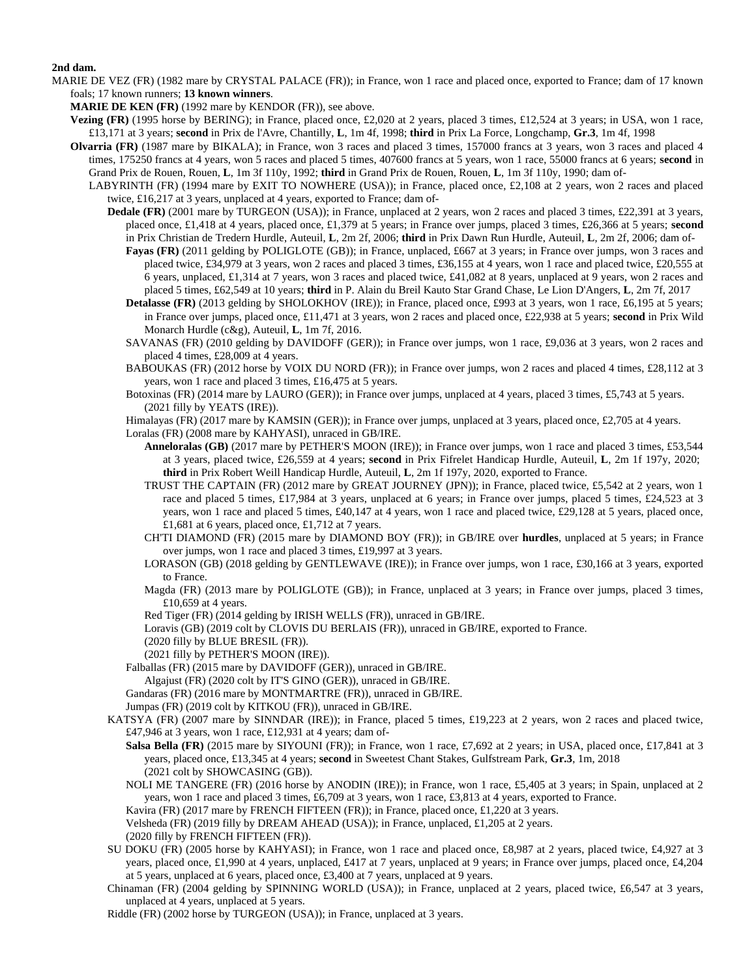## **2nd dam.**

MARIE DE VEZ (FR) (1982 mare by CRYSTAL PALACE (FR)); in France, won 1 race and placed once, exported to France; dam of 17 known foals; 17 known runners; **13 known winners**.

**MARIE DE KEN (FR)** (1992 mare by KENDOR (FR)), see above.

- **Vezing (FR)** (1995 horse by BERING); in France, placed once, £2,020 at 2 years, placed 3 times, £12,524 at 3 years; in USA, won 1 race, £13,171 at 3 years; **second** in Prix de l'Avre, Chantilly, **L**, 1m 4f, 1998; **third** in Prix La Force, Longchamp, **Gr.3**, 1m 4f, 1998
- **Olvarria (FR)** (1987 mare by BIKALA); in France, won 3 races and placed 3 times, 157000 francs at 3 years, won 3 races and placed 4 times, 175250 francs at 4 years, won 5 races and placed 5 times, 407600 francs at 5 years, won 1 race, 55000 francs at 6 years; **second** in
	- Grand Prix de Rouen, Rouen, **L**, 1m 3f 110y, 1992; **third** in Grand Prix de Rouen, Rouen, **L**, 1m 3f 110y, 1990; dam of-
	- LABYRINTH (FR) (1994 mare by EXIT TO NOWHERE (USA)); in France, placed once, £2,108 at 2 years, won 2 races and placed twice, £16,217 at 3 years, unplaced at 4 years, exported to France; dam of-
		- **Dedale (FR)** (2001 mare by TURGEON (USA)); in France, unplaced at 2 years, won 2 races and placed 3 times, £22,391 at 3 years, placed once, £1,418 at 4 years, placed once, £1,379 at 5 years; in France over jumps, placed 3 times, £26,366 at 5 years; **second** in Prix Christian de Tredern Hurdle, Auteuil, **L**, 2m 2f, 2006; **third** in Prix Dawn Run Hurdle, Auteuil, **L**, 2m 2f, 2006; dam of-
			- **Fayas (FR)** (2011 gelding by POLIGLOTE (GB)); in France, unplaced, £667 at 3 years; in France over jumps, won 3 races and placed twice, £34,979 at 3 years, won 2 races and placed 3 times, £36,155 at 4 years, won 1 race and placed twice, £20,555 at 6 years, unplaced, £1,314 at 7 years, won 3 races and placed twice, £41,082 at 8 years, unplaced at 9 years, won 2 races and placed 5 times, £62,549 at 10 years; **third** in P. Alain du Breil Kauto Star Grand Chase, Le Lion D'Angers, **L**, 2m 7f, 2017
			- **Detalasse (FR)** (2013 gelding by SHOLOKHOV (IRE)); in France, placed once, £993 at 3 years, won 1 race, £6,195 at 5 years; in France over jumps, placed once, £11,471 at 3 years, won 2 races and placed once, £22,938 at 5 years; **second** in Prix Wild Monarch Hurdle (c&g), Auteuil, **L**, 1m 7f, 2016.
			- SAVANAS (FR) (2010 gelding by DAVIDOFF (GER)); in France over jumps, won 1 race, £9,036 at 3 years, won 2 races and placed 4 times, £28,009 at 4 years.
			- BABOUKAS (FR) (2012 horse by VOIX DU NORD (FR)); in France over jumps, won 2 races and placed 4 times, £28,112 at 3 years, won 1 race and placed 3 times, £16,475 at 5 years.
			- Botoxinas (FR) (2014 mare by LAURO (GER)); in France over jumps, unplaced at 4 years, placed 3 times, £5,743 at 5 years. (2021 filly by YEATS (IRE)).
			- Himalayas (FR) (2017 mare by KAMSIN (GER)); in France over jumps, unplaced at 3 years, placed once, £2,705 at 4 years.

Loralas (FR) (2008 mare by KAHYASI), unraced in GB/IRE.

- **Anneloralas (GB)** (2017 mare by PETHER'S MOON (IRE)); in France over jumps, won 1 race and placed 3 times, £53,544 at 3 years, placed twice, £26,559 at 4 years; **second** in Prix Fifrelet Handicap Hurdle, Auteuil, **L**, 2m 1f 197y, 2020; **third** in Prix Robert Weill Handicap Hurdle, Auteuil, **L**, 2m 1f 197y, 2020, exported to France.
- TRUST THE CAPTAIN (FR) (2012 mare by GREAT JOURNEY (JPN)); in France, placed twice, £5,542 at 2 years, won 1 race and placed 5 times, £17,984 at 3 years, unplaced at 6 years; in France over jumps, placed 5 times, £24,523 at 3 years, won 1 race and placed 5 times, £40,147 at 4 years, won 1 race and placed twice, £29,128 at 5 years, placed once, £1,681 at 6 years, placed once, £1,712 at 7 years.
- CH'TI DIAMOND (FR) (2015 mare by DIAMOND BOY (FR)); in GB/IRE over **hurdles**, unplaced at 5 years; in France over jumps, won 1 race and placed 3 times, £19,997 at 3 years.
- LORASON (GB) (2018 gelding by GENTLEWAVE (IRE)); in France over jumps, won 1 race, £30,166 at 3 years, exported to France.
- Magda (FR) (2013 mare by POLIGLOTE (GB)); in France, unplaced at 3 years; in France over jumps, placed 3 times, £10,659 at 4 years.
- Red Tiger (FR) (2014 gelding by IRISH WELLS (FR)), unraced in GB/IRE.
- Loravis (GB) (2019 colt by CLOVIS DU BERLAIS (FR)), unraced in GB/IRE, exported to France.
- (2020 filly by BLUE BRESIL (FR)).
- (2021 filly by PETHER'S MOON (IRE)).
- Falballas (FR) (2015 mare by DAVIDOFF (GER)), unraced in GB/IRE.

Algajust (FR) (2020 colt by IT'S GINO (GER)), unraced in GB/IRE.

- Gandaras (FR) (2016 mare by MONTMARTRE (FR)), unraced in GB/IRE.
- Jumpas (FR) (2019 colt by KITKOU (FR)), unraced in GB/IRE.
- KATSYA (FR) (2007 mare by SINNDAR (IRE)); in France, placed 5 times, £19,223 at 2 years, won 2 races and placed twice, £47,946 at 3 years, won 1 race, £12,931 at 4 years; dam of-
	- **Salsa Bella (FR)** (2015 mare by SIYOUNI (FR)); in France, won 1 race, £7,692 at 2 years; in USA, placed once, £17,841 at 3 years, placed once, £13,345 at 4 years; **second** in Sweetest Chant Stakes, Gulfstream Park, **Gr.3**, 1m, 2018 (2021 colt by SHOWCASING (GB)).
	- NOLI ME TANGERE (FR) (2016 horse by ANODIN (IRE)); in France, won 1 race, £5,405 at 3 years; in Spain, unplaced at 2 years, won 1 race and placed 3 times, £6,709 at 3 years, won 1 race, £3,813 at 4 years, exported to France.

Kavira (FR) (2017 mare by FRENCH FIFTEEN (FR)); in France, placed once, £1,220 at 3 years.

Velsheda (FR) (2019 filly by DREAM AHEAD (USA)); in France, unplaced, £1,205 at 2 years.

(2020 filly by FRENCH FIFTEEN (FR)).

- SU DOKU (FR) (2005 horse by KAHYASI); in France, won 1 race and placed once, £8,987 at 2 years, placed twice, £4,927 at 3 years, placed once, £1,990 at 4 years, unplaced, £417 at 7 years, unplaced at 9 years; in France over jumps, placed once, £4,204 at 5 years, unplaced at 6 years, placed once, £3,400 at 7 years, unplaced at 9 years.
- Chinaman (FR) (2004 gelding by SPINNING WORLD (USA)); in France, unplaced at 2 years, placed twice, £6,547 at 3 years, unplaced at 4 years, unplaced at 5 years.

Riddle (FR) (2002 horse by TURGEON (USA)); in France, unplaced at 3 years.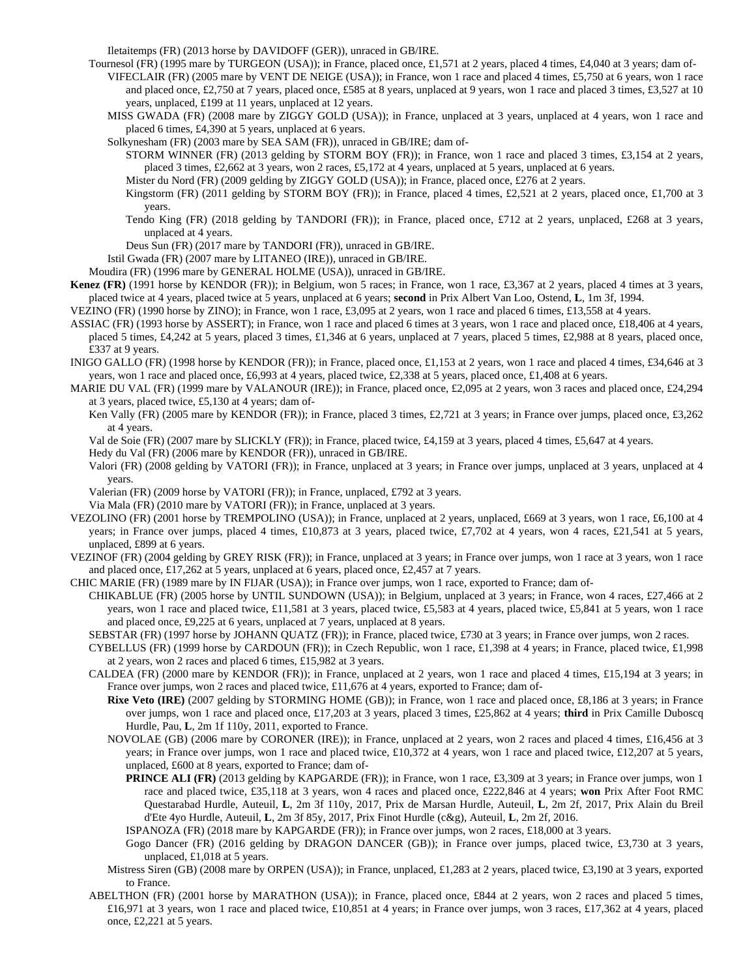Iletaitemps (FR) (2013 horse by DAVIDOFF (GER)), unraced in GB/IRE.

- Tournesol (FR) (1995 mare by TURGEON (USA)); in France, placed once, £1,571 at 2 years, placed 4 times, £4,040 at 3 years; dam of-VIFECLAIR (FR) (2005 mare by VENT DE NEIGE (USA)); in France, won 1 race and placed 4 times, £5,750 at 6 years, won 1 race and placed once, £2,750 at 7 years, placed once, £585 at 8 years, unplaced at 9 years, won 1 race and placed 3 times, £3,527 at 10 years, unplaced, £199 at 11 years, unplaced at 12 years.
	- MISS GWADA (FR) (2008 mare by ZIGGY GOLD (USA)); in France, unplaced at 3 years, unplaced at 4 years, won 1 race and placed 6 times, £4,390 at 5 years, unplaced at 6 years.

Solkynesham (FR) (2003 mare by SEA SAM (FR)), unraced in GB/IRE; dam of-

- STORM WINNER (FR) (2013 gelding by STORM BOY (FR)); in France, won 1 race and placed 3 times, £3,154 at 2 years, placed 3 times, £2,662 at 3 years, won 2 races, £5,172 at 4 years, unplaced at 5 years, unplaced at 6 years.
- Mister du Nord (FR) (2009 gelding by ZIGGY GOLD (USA)); in France, placed once, £276 at 2 years.
- Kingstorm (FR) (2011 gelding by STORM BOY (FR)); in France, placed 4 times, £2,521 at 2 years, placed once, £1,700 at 3 years.
- Tendo King (FR) (2018 gelding by TANDORI (FR)); in France, placed once, £712 at 2 years, unplaced, £268 at 3 years, unplaced at 4 years.
- Deus Sun (FR) (2017 mare by TANDORI (FR)), unraced in GB/IRE.

Istil Gwada (FR) (2007 mare by LITANEO (IRE)), unraced in GB/IRE.

- Moudira (FR) (1996 mare by GENERAL HOLME (USA)), unraced in GB/IRE.
- **Kenez (FR)** (1991 horse by KENDOR (FR)); in Belgium, won 5 races; in France, won 1 race, £3,367 at 2 years, placed 4 times at 3 years, placed twice at 4 years, placed twice at 5 years, unplaced at 6 years; **second** in Prix Albert Van Loo, Ostend, **L**, 1m 3f, 1994.
- VEZINO (FR) (1990 horse by ZINO); in France, won 1 race, £3,095 at 2 years, won 1 race and placed 6 times, £13,558 at 4 years.
- ASSIAC (FR) (1993 horse by ASSERT); in France, won 1 race and placed 6 times at 3 years, won 1 race and placed once, £18,406 at 4 years, placed 5 times, £4,242 at 5 years, placed 3 times, £1,346 at 6 years, unplaced at 7 years, placed 5 times, £2,988 at 8 years, placed once, £337 at 9 years.
- INIGO GALLO (FR) (1998 horse by KENDOR (FR)); in France, placed once, £1,153 at 2 years, won 1 race and placed 4 times, £34,646 at 3 years, won 1 race and placed once, £6,993 at 4 years, placed twice, £2,338 at 5 years, placed once, £1,408 at 6 years.
- MARIE DU VAL (FR) (1999 mare by VALANOUR (IRE)); in France, placed once, £2,095 at 2 years, won 3 races and placed once, £24,294 at 3 years, placed twice, £5,130 at 4 years; dam of-
	- Ken Vally (FR) (2005 mare by KENDOR (FR)); in France, placed 3 times, £2,721 at 3 years; in France over jumps, placed once, £3,262 at 4 years.
	- Val de Soie (FR) (2007 mare by SLICKLY (FR)); in France, placed twice, £4,159 at 3 years, placed 4 times, £5,647 at 4 years.
	- Hedy du Val (FR) (2006 mare by KENDOR (FR)), unraced in GB/IRE.
	- Valori (FR) (2008 gelding by VATORI (FR)); in France, unplaced at 3 years; in France over jumps, unplaced at 3 years, unplaced at 4 years.
	- Valerian (FR) (2009 horse by VATORI (FR)); in France, unplaced, £792 at 3 years.
	- Via Mala (FR) (2010 mare by VATORI (FR)); in France, unplaced at 3 years.
- VEZOLINO (FR) (2001 horse by TREMPOLINO (USA)); in France, unplaced at 2 years, unplaced, £669 at 3 years, won 1 race, £6,100 at 4 years; in France over jumps, placed 4 times, £10,873 at 3 years, placed twice, £7,702 at 4 years, won 4 races, £21,541 at 5 years, unplaced, £899 at 6 years.
- VEZINOF (FR) (2004 gelding by GREY RISK (FR)); in France, unplaced at 3 years; in France over jumps, won 1 race at 3 years, won 1 race and placed once, £17,262 at 5 years, unplaced at 6 years, placed once, £2,457 at 7 years.
- CHIC MARIE (FR) (1989 mare by IN FIJAR (USA)); in France over jumps, won 1 race, exported to France; dam of-
	- CHIKABLUE (FR) (2005 horse by UNTIL SUNDOWN (USA)); in Belgium, unplaced at 3 years; in France, won 4 races, £27,466 at 2 years, won 1 race and placed twice, £11,581 at 3 years, placed twice, £5,583 at 4 years, placed twice, £5,841 at 5 years, won 1 race and placed once, £9,225 at 6 years, unplaced at 7 years, unplaced at 8 years.
	- SEBSTAR (FR) (1997 horse by JOHANN QUATZ (FR)); in France, placed twice, £730 at 3 years; in France over jumps, won 2 races.
	- CYBELLUS (FR) (1999 horse by CARDOUN (FR)); in Czech Republic, won 1 race, £1,398 at 4 years; in France, placed twice, £1,998 at 2 years, won 2 races and placed 6 times, £15,982 at 3 years.
	- CALDEA (FR) (2000 mare by KENDOR (FR)); in France, unplaced at 2 years, won 1 race and placed 4 times, £15,194 at 3 years; in France over jumps, won 2 races and placed twice, £11,676 at 4 years, exported to France; dam of-
		- **Rixe Veto (IRE)** (2007 gelding by STORMING HOME (GB)); in France, won 1 race and placed once, £8,186 at 3 years; in France over jumps, won 1 race and placed once, £17,203 at 3 years, placed 3 times, £25,862 at 4 years; **third** in Prix Camille Duboscq Hurdle, Pau, **L**, 2m 1f 110y, 2011, exported to France.
		- NOVOLAE (GB) (2006 mare by CORONER (IRE)); in France, unplaced at 2 years, won 2 races and placed 4 times, £16,456 at 3 years; in France over jumps, won 1 race and placed twice, £10,372 at 4 years, won 1 race and placed twice, £12,207 at 5 years, unplaced, £600 at 8 years, exported to France; dam of-
			- **PRINCE ALI (FR)** (2013 gelding by KAPGARDE (FR)); in France, won 1 race, £3,309 at 3 years; in France over jumps, won 1 race and placed twice, £35,118 at 3 years, won 4 races and placed once, £222,846 at 4 years; **won** Prix After Foot RMC Questarabad Hurdle, Auteuil, **L**, 2m 3f 110y, 2017, Prix de Marsan Hurdle, Auteuil, **L**, 2m 2f, 2017, Prix Alain du Breil d'Ete 4yo Hurdle, Auteuil, **L**, 2m 3f 85y, 2017, Prix Finot Hurdle (c&g), Auteuil, **L**, 2m 2f, 2016.
			- ISPANOZA (FR) (2018 mare by KAPGARDE (FR)); in France over jumps, won 2 races, £18,000 at 3 years.
			- Gogo Dancer (FR) (2016 gelding by DRAGON DANCER (GB)); in France over jumps, placed twice, £3,730 at 3 years, unplaced, £1,018 at 5 years.
		- Mistress Siren (GB) (2008 mare by ORPEN (USA)); in France, unplaced, £1,283 at 2 years, placed twice, £3,190 at 3 years, exported to France.
	- ABELTHON (FR) (2001 horse by MARATHON (USA)); in France, placed once, £844 at 2 years, won 2 races and placed 5 times, £16,971 at 3 years, won 1 race and placed twice, £10,851 at 4 years; in France over jumps, won 3 races, £17,362 at 4 years, placed once, £2,221 at 5 years.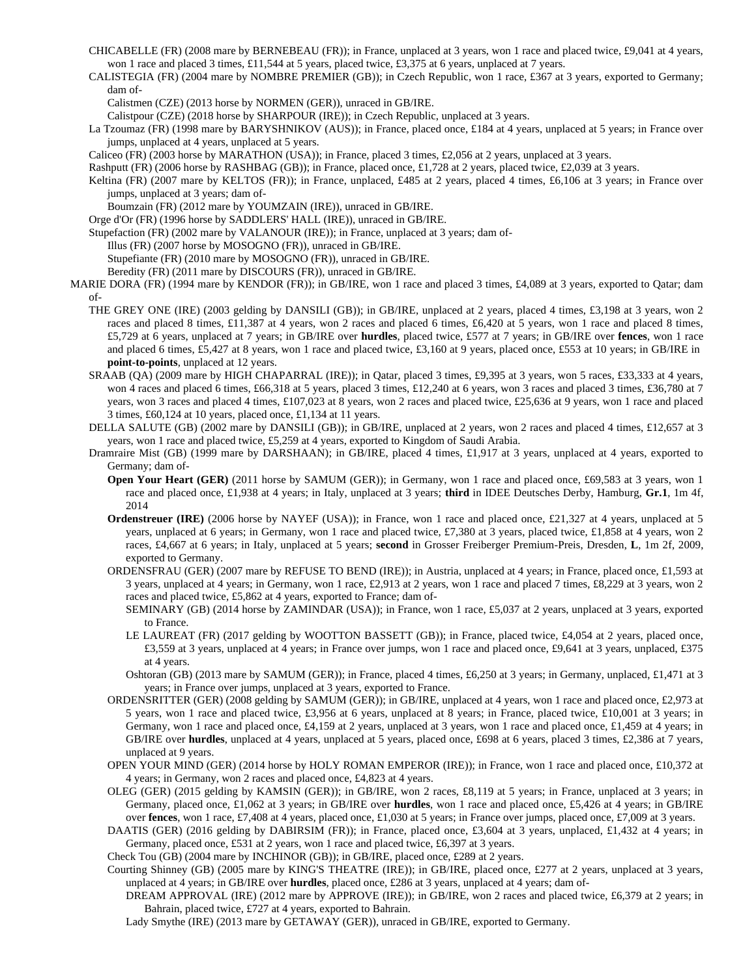- CHICABELLE (FR) (2008 mare by BERNEBEAU (FR)); in France, unplaced at 3 years, won 1 race and placed twice, £9,041 at 4 years, won 1 race and placed 3 times, £11,544 at 5 years, placed twice, £3,375 at 6 years, unplaced at 7 years.
- CALISTEGIA (FR) (2004 mare by NOMBRE PREMIER (GB)); in Czech Republic, won 1 race, £367 at 3 years, exported to Germany; dam of-

Calistmen (CZE) (2013 horse by NORMEN (GER)), unraced in GB/IRE.

Calistpour (CZE) (2018 horse by SHARPOUR (IRE)); in Czech Republic, unplaced at 3 years.

- La Tzoumaz (FR) (1998 mare by BARYSHNIKOV (AUS)); in France, placed once, £184 at 4 years, unplaced at 5 years; in France over jumps, unplaced at 4 years, unplaced at 5 years.
- Caliceo (FR) (2003 horse by MARATHON (USA)); in France, placed 3 times, £2,056 at 2 years, unplaced at 3 years.

Rashputt (FR) (2006 horse by RASHBAG (GB)); in France, placed once, £1,728 at 2 years, placed twice, £2,039 at 3 years.

Keltina (FR) (2007 mare by KELTOS (FR)); in France, unplaced, £485 at 2 years, placed 4 times, £6,106 at 3 years; in France over jumps, unplaced at 3 years; dam of-

Boumzain (FR) (2012 mare by YOUMZAIN (IRE)), unraced in GB/IRE.

Orge d'Or (FR) (1996 horse by SADDLERS' HALL (IRE)), unraced in GB/IRE.

Stupefaction (FR) (2002 mare by VALANOUR (IRE)); in France, unplaced at 3 years; dam of-

Illus (FR) (2007 horse by MOSOGNO (FR)), unraced in GB/IRE.

Stupefiante (FR) (2010 mare by MOSOGNO (FR)), unraced in GB/IRE.

- Beredity (FR) (2011 mare by DISCOURS (FR)), unraced in GB/IRE.
- MARIE DORA (FR) (1994 mare by KENDOR (FR)); in GB/IRE, won 1 race and placed 3 times, £4,089 at 3 years, exported to Qatar; dam of-
	- THE GREY ONE (IRE) (2003 gelding by DANSILI (GB)); in GB/IRE, unplaced at 2 years, placed 4 times, £3,198 at 3 years, won 2 races and placed 8 times, £11,387 at 4 years, won 2 races and placed 6 times, £6,420 at 5 years, won 1 race and placed 8 times, £5,729 at 6 years, unplaced at 7 years; in GB/IRE over **hurdles**, placed twice, £577 at 7 years; in GB/IRE over **fences**, won 1 race and placed 6 times, £5,427 at 8 years, won 1 race and placed twice, £3,160 at 9 years, placed once, £553 at 10 years; in GB/IRE in **point-to-points**, unplaced at 12 years.
	- SRAAB (QA) (2009 mare by HIGH CHAPARRAL (IRE)); in Qatar, placed 3 times, £9,395 at 3 years, won 5 races, £33,333 at 4 years, won 4 races and placed 6 times, £66,318 at 5 years, placed 3 times, £12,240 at 6 years, won 3 races and placed 3 times, £36,780 at 7 years, won 3 races and placed 4 times, £107,023 at 8 years, won 2 races and placed twice, £25,636 at 9 years, won 1 race and placed 3 times, £60,124 at 10 years, placed once, £1,134 at 11 years.
	- DELLA SALUTE (GB) (2002 mare by DANSILI (GB)); in GB/IRE, unplaced at 2 years, won 2 races and placed 4 times, £12,657 at 3 years, won 1 race and placed twice, £5,259 at 4 years, exported to Kingdom of Saudi Arabia.
	- Dramraire Mist (GB) (1999 mare by DARSHAAN); in GB/IRE, placed 4 times, £1,917 at 3 years, unplaced at 4 years, exported to Germany; dam of-
		- **Open Your Heart (GER)** (2011 horse by SAMUM (GER)); in Germany, won 1 race and placed once, £69,583 at 3 years, won 1 race and placed once, £1,938 at 4 years; in Italy, unplaced at 3 years; **third** in IDEE Deutsches Derby, Hamburg, **Gr.1**, 1m 4f, 2014
		- **Ordenstreuer (IRE)** (2006 horse by NAYEF (USA)); in France, won 1 race and placed once, £21,327 at 4 years, unplaced at 5 years, unplaced at 6 years; in Germany, won 1 race and placed twice, £7,380 at 3 years, placed twice, £1,858 at 4 years, won 2 races, £4,667 at 6 years; in Italy, unplaced at 5 years; **second** in Grosser Freiberger Premium-Preis, Dresden, **L**, 1m 2f, 2009, exported to Germany.
		- ORDENSFRAU (GER) (2007 mare by REFUSE TO BEND (IRE)); in Austria, unplaced at 4 years; in France, placed once, £1,593 at 3 years, unplaced at 4 years; in Germany, won 1 race, £2,913 at 2 years, won 1 race and placed 7 times, £8,229 at 3 years, won 2 races and placed twice, £5,862 at 4 years, exported to France; dam of-

SEMINARY (GB) (2014 horse by ZAMINDAR (USA)); in France, won 1 race, £5,037 at 2 years, unplaced at 3 years, exported to France.

- LE LAUREAT (FR) (2017 gelding by WOOTTON BASSETT (GB)); in France, placed twice, £4,054 at 2 years, placed once, £3,559 at 3 years, unplaced at 4 years; in France over jumps, won 1 race and placed once, £9,641 at 3 years, unplaced, £375 at 4 years.
- Oshtoran (GB) (2013 mare by SAMUM (GER)); in France, placed 4 times, £6,250 at 3 years; in Germany, unplaced, £1,471 at 3 years; in France over jumps, unplaced at 3 years, exported to France.
- ORDENSRITTER (GER) (2008 gelding by SAMUM (GER)); in GB/IRE, unplaced at 4 years, won 1 race and placed once, £2,973 at 5 years, won 1 race and placed twice, £3,956 at 6 years, unplaced at 8 years; in France, placed twice, £10,001 at 3 years; in Germany, won 1 race and placed once, £4,159 at 2 years, unplaced at 3 years, won 1 race and placed once, £1,459 at 4 years; in GB/IRE over **hurdles**, unplaced at 4 years, unplaced at 5 years, placed once, £698 at 6 years, placed 3 times, £2,386 at 7 years, unplaced at 9 years.
- OPEN YOUR MIND (GER) (2014 horse by HOLY ROMAN EMPEROR (IRE)); in France, won 1 race and placed once, £10,372 at 4 years; in Germany, won 2 races and placed once, £4,823 at 4 years.
- OLEG (GER) (2015 gelding by KAMSIN (GER)); in GB/IRE, won 2 races, £8,119 at 5 years; in France, unplaced at 3 years; in Germany, placed once, £1,062 at 3 years; in GB/IRE over **hurdles**, won 1 race and placed once, £5,426 at 4 years; in GB/IRE over **fences**, won 1 race, £7,408 at 4 years, placed once, £1,030 at 5 years; in France over jumps, placed once, £7,009 at 3 years.
- DAATIS (GER) (2016 gelding by DABIRSIM (FR)); in France, placed once, £3,604 at 3 years, unplaced, £1,432 at 4 years; in Germany, placed once, £531 at 2 years, won 1 race and placed twice, £6,397 at 3 years.
- Check Tou (GB) (2004 mare by INCHINOR (GB)); in GB/IRE, placed once, £289 at 2 years.
- Courting Shinney (GB) (2005 mare by KING'S THEATRE (IRE)); in GB/IRE, placed once, £277 at 2 years, unplaced at 3 years, unplaced at 4 years; in GB/IRE over **hurdles**, placed once, £286 at 3 years, unplaced at 4 years; dam of-

DREAM APPROVAL (IRE) (2012 mare by APPROVE (IRE)); in GB/IRE, won 2 races and placed twice, £6,379 at 2 years; in Bahrain, placed twice, £727 at 4 years, exported to Bahrain.

Lady Smythe (IRE) (2013 mare by GETAWAY (GER)), unraced in GB/IRE, exported to Germany.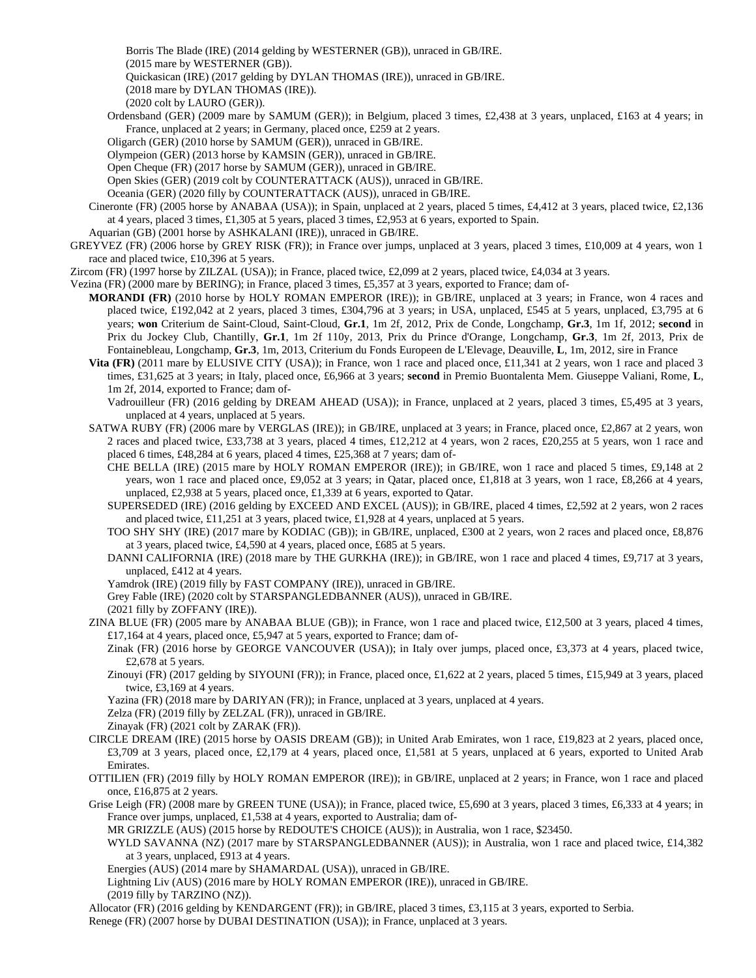Borris The Blade (IRE) (2014 gelding by WESTERNER (GB)), unraced in GB/IRE.

(2015 mare by WESTERNER (GB)).

Quickasican (IRE) (2017 gelding by DYLAN THOMAS (IRE)), unraced in GB/IRE.

(2018 mare by DYLAN THOMAS (IRE)).

(2020 colt by LAURO (GER)).

Ordensband (GER) (2009 mare by SAMUM (GER)); in Belgium, placed 3 times, £2,438 at 3 years, unplaced, £163 at 4 years; in France, unplaced at 2 years; in Germany, placed once, £259 at 2 years.

Oligarch (GER) (2010 horse by SAMUM (GER)), unraced in GB/IRE.

Olympeion (GER) (2013 horse by KAMSIN (GER)), unraced in GB/IRE.

Open Cheque (FR) (2017 horse by SAMUM (GER)), unraced in GB/IRE.

Open Skies (GER) (2019 colt by COUNTERATTACK (AUS)), unraced in GB/IRE.

Oceania (GER) (2020 filly by COUNTERATTACK (AUS)), unraced in GB/IRE.

Cineronte (FR) (2005 horse by ANABAA (USA)); in Spain, unplaced at 2 years, placed 5 times, £4,412 at 3 years, placed twice, £2,136 at 4 years, placed 3 times, £1,305 at 5 years, placed 3 times, £2,953 at 6 years, exported to Spain.

Aquarian (GB) (2001 horse by ASHKALANI (IRE)), unraced in GB/IRE.

GREYVEZ (FR) (2006 horse by GREY RISK (FR)); in France over jumps, unplaced at 3 years, placed 3 times, £10,009 at 4 years, won 1 race and placed twice, £10,396 at 5 years.

Zircom (FR) (1997 horse by ZILZAL (USA)); in France, placed twice, £2,099 at 2 years, placed twice, £4,034 at 3 years.

Vezina (FR) (2000 mare by BERING); in France, placed 3 times, £5,357 at 3 years, exported to France; dam of-

- **MORANDI (FR)** (2010 horse by HOLY ROMAN EMPEROR (IRE)); in GB/IRE, unplaced at 3 years; in France, won 4 races and placed twice, £192,042 at 2 years, placed 3 times, £304,796 at 3 years; in USA, unplaced, £545 at 5 years, unplaced, £3,795 at 6 years; **won** Criterium de Saint-Cloud, Saint-Cloud, **Gr.1**, 1m 2f, 2012, Prix de Conde, Longchamp, **Gr.3**, 1m 1f, 2012; **second** in Prix du Jockey Club, Chantilly, **Gr.1**, 1m 2f 110y, 2013, Prix du Prince d'Orange, Longchamp, **Gr.3**, 1m 2f, 2013, Prix de Fontainebleau, Longchamp, **Gr.3**, 1m, 2013, Criterium du Fonds Europeen de L'Elevage, Deauville, **L**, 1m, 2012, sire in France
	- **Vita (FR)** (2011 mare by ELUSIVE CITY (USA)); in France, won 1 race and placed once, £11,341 at 2 years, won 1 race and placed 3 times, £31,625 at 3 years; in Italy, placed once, £6,966 at 3 years; **second** in Premio Buontalenta Mem. Giuseppe Valiani, Rome, **L**, 1m 2f, 2014, exported to France; dam of-

Vadrouilleur (FR) (2016 gelding by DREAM AHEAD (USA)); in France, unplaced at 2 years, placed 3 times, £5,495 at 3 years, unplaced at 4 years, unplaced at 5 years.

SATWA RUBY (FR) (2006 mare by VERGLAS (IRE)); in GB/IRE, unplaced at 3 years; in France, placed once, £2,867 at 2 years, won 2 races and placed twice, £33,738 at 3 years, placed 4 times, £12,212 at 4 years, won 2 races, £20,255 at 5 years, won 1 race and placed 6 times, £48,284 at 6 years, placed 4 times, £25,368 at 7 years; dam of-

CHE BELLA (IRE) (2015 mare by HOLY ROMAN EMPEROR (IRE)); in GB/IRE, won 1 race and placed 5 times, £9,148 at 2 years, won 1 race and placed once, £9,052 at 3 years; in Qatar, placed once, £1,818 at 3 years, won 1 race, £8,266 at 4 years, unplaced, £2,938 at 5 years, placed once, £1,339 at 6 years, exported to Qatar.

SUPERSEDED (IRE) (2016 gelding by EXCEED AND EXCEL (AUS)); in GB/IRE, placed 4 times, £2,592 at 2 years, won 2 races and placed twice, £11,251 at 3 years, placed twice, £1,928 at 4 years, unplaced at 5 years.

TOO SHY SHY (IRE) (2017 mare by KODIAC (GB)); in GB/IRE, unplaced, £300 at 2 years, won 2 races and placed once, £8,876 at 3 years, placed twice, £4,590 at 4 years, placed once, £685 at 5 years.

DANNI CALIFORNIA (IRE) (2018 mare by THE GURKHA (IRE)); in GB/IRE, won 1 race and placed 4 times, £9,717 at 3 years, unplaced, £412 at 4 years.

Yamdrok (IRE) (2019 filly by FAST COMPANY (IRE)), unraced in GB/IRE.

Grey Fable (IRE) (2020 colt by STARSPANGLEDBANNER (AUS)), unraced in GB/IRE.

(2021 filly by ZOFFANY (IRE)).

ZINA BLUE (FR) (2005 mare by ANABAA BLUE (GB)); in France, won 1 race and placed twice, £12,500 at 3 years, placed 4 times, £17,164 at 4 years, placed once, £5,947 at 5 years, exported to France; dam of-

Zinak (FR) (2016 horse by GEORGE VANCOUVER (USA)); in Italy over jumps, placed once, £3,373 at 4 years, placed twice, £2,678 at 5 years.

Zinouyi (FR) (2017 gelding by SIYOUNI (FR)); in France, placed once, £1,622 at 2 years, placed 5 times, £15,949 at 3 years, placed twice, £3,169 at 4 years.

Yazina (FR) (2018 mare by DARIYAN (FR)); in France, unplaced at 3 years, unplaced at 4 years.

Zelza (FR) (2019 filly by ZELZAL (FR)), unraced in GB/IRE.

Zinayak (FR) (2021 colt by ZARAK (FR)).

- CIRCLE DREAM (IRE) (2015 horse by OASIS DREAM (GB)); in United Arab Emirates, won 1 race, £19,823 at 2 years, placed once, £3,709 at 3 years, placed once, £2,179 at 4 years, placed once, £1,581 at 5 years, unplaced at 6 years, exported to United Arab Emirates.
- OTTILIEN (FR) (2019 filly by HOLY ROMAN EMPEROR (IRE)); in GB/IRE, unplaced at 2 years; in France, won 1 race and placed once, £16,875 at 2 years.

Grise Leigh (FR) (2008 mare by GREEN TUNE (USA)); in France, placed twice, £5,690 at 3 years, placed 3 times, £6,333 at 4 years; in France over jumps, unplaced, £1,538 at 4 years, exported to Australia; dam of-

MR GRIZZLE (AUS) (2015 horse by REDOUTE'S CHOICE (AUS)); in Australia, won 1 race, \$23450.

WYLD SAVANNA (NZ) (2017 mare by STARSPANGLEDBANNER (AUS)); in Australia, won 1 race and placed twice, £14,382 at 3 years, unplaced, £913 at 4 years.

Energies (AUS) (2014 mare by SHAMARDAL (USA)), unraced in GB/IRE.

Lightning Liv (AUS) (2016 mare by HOLY ROMAN EMPEROR (IRE)), unraced in GB/IRE.

(2019 filly by TARZINO (NZ)).

Allocator (FR) (2016 gelding by KENDARGENT (FR)); in GB/IRE, placed 3 times, £3,115 at 3 years, exported to Serbia.

Renege (FR) (2007 horse by DUBAI DESTINATION (USA)); in France, unplaced at 3 years.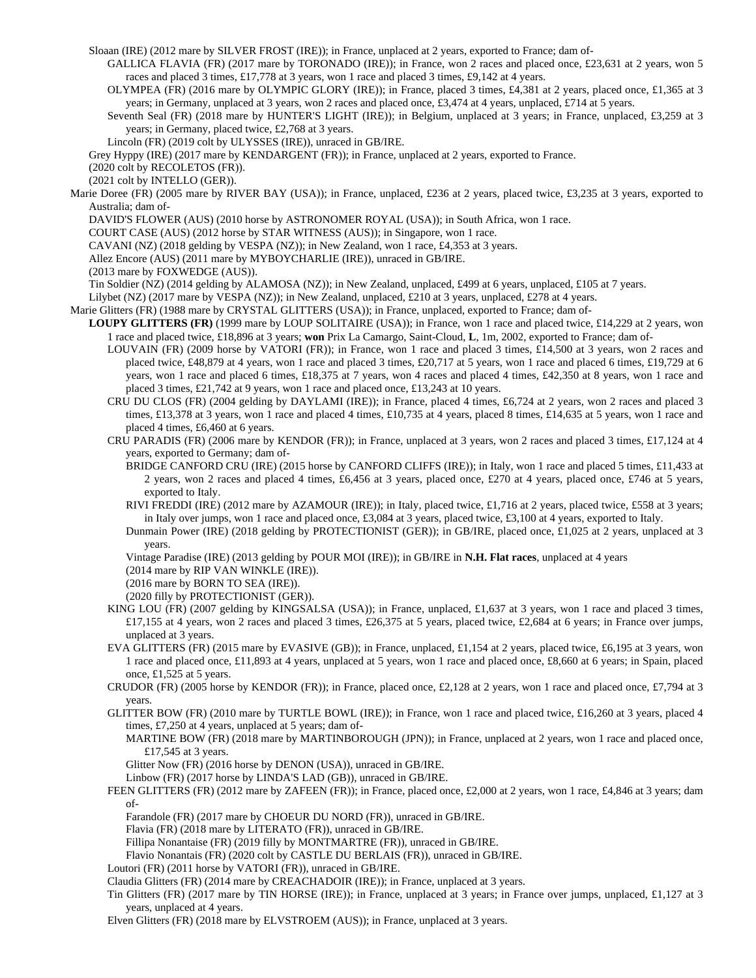Sloaan (IRE) (2012 mare by SILVER FROST (IRE)); in France, unplaced at 2 years, exported to France; dam of-

GALLICA FLAVIA (FR) (2017 mare by TORONADO (IRE)); in France, won 2 races and placed once, £23,631 at 2 years, won 5 races and placed 3 times, £17,778 at 3 years, won 1 race and placed 3 times, £9,142 at 4 years.

OLYMPEA (FR) (2016 mare by OLYMPIC GLORY (IRE)); in France, placed 3 times, £4,381 at 2 years, placed once, £1,365 at 3 years; in Germany, unplaced at 3 years, won 2 races and placed once, £3,474 at 4 years, unplaced, £714 at 5 years.

Seventh Seal (FR) (2018 mare by HUNTER'S LIGHT (IRE)); in Belgium, unplaced at 3 years; in France, unplaced, £3,259 at 3 years; in Germany, placed twice, £2,768 at 3 years.

Lincoln (FR) (2019 colt by ULYSSES (IRE)), unraced in GB/IRE.

Grey Hyppy (IRE) (2017 mare by KENDARGENT (FR)); in France, unplaced at 2 years, exported to France.

(2020 colt by RECOLETOS (FR)).

(2021 colt by INTELLO (GER)).

Marie Doree (FR) (2005 mare by RIVER BAY (USA)); in France, unplaced, £236 at 2 years, placed twice, £3,235 at 3 years, exported to Australia; dam of-

DAVID'S FLOWER (AUS) (2010 horse by ASTRONOMER ROYAL (USA)); in South Africa, won 1 race.

COURT CASE (AUS) (2012 horse by STAR WITNESS (AUS)); in Singapore, won 1 race.

CAVANI (NZ) (2018 gelding by VESPA (NZ)); in New Zealand, won 1 race, £4,353 at 3 years.

Allez Encore (AUS) (2011 mare by MYBOYCHARLIE (IRE)), unraced in GB/IRE.

(2013 mare by FOXWEDGE (AUS)).

Tin Soldier (NZ) (2014 gelding by ALAMOSA (NZ)); in New Zealand, unplaced, £499 at 6 years, unplaced, £105 at 7 years.

Lilybet (NZ) (2017 mare by VESPA (NZ)); in New Zealand, unplaced, £210 at 3 years, unplaced, £278 at 4 years.

Marie Glitters (FR) (1988 mare by CRYSTAL GLITTERS (USA)); in France, unplaced, exported to France; dam of-

- **LOUPY GLITTERS (FR)** (1999 mare by LOUP SOLITAIRE (USA)); in France, won 1 race and placed twice, £14,229 at 2 years, won 1 race and placed twice, £18,896 at 3 years; **won** Prix La Camargo, Saint-Cloud, **L**, 1m, 2002, exported to France; dam of-
	- LOUVAIN (FR) (2009 horse by VATORI (FR)); in France, won 1 race and placed 3 times, £14,500 at 3 years, won 2 races and placed twice, £48,879 at 4 years, won 1 race and placed 3 times, £20,717 at 5 years, won 1 race and placed 6 times, £19,729 at 6 years, won 1 race and placed 6 times, £18,375 at 7 years, won 4 races and placed 4 times, £42,350 at 8 years, won 1 race and placed 3 times, £21,742 at 9 years, won 1 race and placed once, £13,243 at 10 years.
	- CRU DU CLOS (FR) (2004 gelding by DAYLAMI (IRE)); in France, placed 4 times, £6,724 at 2 years, won 2 races and placed 3 times, £13,378 at 3 years, won 1 race and placed 4 times, £10,735 at 4 years, placed 8 times, £14,635 at 5 years, won 1 race and placed 4 times, £6,460 at 6 years.
	- CRU PARADIS (FR) (2006 mare by KENDOR (FR)); in France, unplaced at 3 years, won 2 races and placed 3 times, £17,124 at 4 years, exported to Germany; dam of-

BRIDGE CANFORD CRU (IRE) (2015 horse by CANFORD CLIFFS (IRE)); in Italy, won 1 race and placed 5 times, £11,433 at 2 years, won 2 races and placed 4 times, £6,456 at 3 years, placed once, £270 at 4 years, placed once, £746 at 5 years, exported to Italy.

- RIVI FREDDI (IRE) (2012 mare by AZAMOUR (IRE)); in Italy, placed twice, £1,716 at 2 years, placed twice, £558 at 3 years; in Italy over jumps, won 1 race and placed once, £3,084 at 3 years, placed twice, £3,100 at 4 years, exported to Italy.
- Dunmain Power (IRE) (2018 gelding by PROTECTIONIST (GER)); in GB/IRE, placed once, £1,025 at 2 years, unplaced at 3 years.

Vintage Paradise (IRE) (2013 gelding by POUR MOI (IRE)); in GB/IRE in **N.H. Flat races**, unplaced at 4 years

(2014 mare by RIP VAN WINKLE (IRE)).

(2016 mare by BORN TO SEA (IRE)).

(2020 filly by PROTECTIONIST (GER)).

- KING LOU (FR) (2007 gelding by KINGSALSA (USA)); in France, unplaced, £1,637 at 3 years, won 1 race and placed 3 times, £17,155 at 4 years, won 2 races and placed 3 times, £26,375 at 5 years, placed twice, £2,684 at 6 years; in France over jumps, unplaced at 3 years.
- EVA GLITTERS (FR) (2015 mare by EVASIVE (GB)); in France, unplaced, £1,154 at 2 years, placed twice, £6,195 at 3 years, won 1 race and placed once, £11,893 at 4 years, unplaced at 5 years, won 1 race and placed once, £8,660 at 6 years; in Spain, placed once, £1,525 at 5 years.

CRUDOR (FR) (2005 horse by KENDOR (FR)); in France, placed once, £2,128 at 2 years, won 1 race and placed once, £7,794 at 3 years.

GLITTER BOW (FR) (2010 mare by TURTLE BOWL (IRE)); in France, won 1 race and placed twice, £16,260 at 3 years, placed 4 times, £7,250 at 4 years, unplaced at 5 years; dam of-

MARTINE BOW (FR) (2018 mare by MARTINBOROUGH (JPN)); in France, unplaced at 2 years, won 1 race and placed once, £17,545 at 3 years.

Glitter Now (FR) (2016 horse by DENON (USA)), unraced in GB/IRE.

- Linbow (FR) (2017 horse by LINDA'S LAD (GB)), unraced in GB/IRE.
- FEEN GLITTERS (FR) (2012 mare by ZAFEEN (FR)); in France, placed once, £2,000 at 2 years, won 1 race, £4,846 at 3 years; dam of-
	- Farandole (FR) (2017 mare by CHOEUR DU NORD (FR)), unraced in GB/IRE.

Flavia (FR) (2018 mare by LITERATO (FR)), unraced in GB/IRE.

Fillipa Nonantaise (FR) (2019 filly by MONTMARTRE (FR)), unraced in GB/IRE.

Flavio Nonantais (FR) (2020 colt by CASTLE DU BERLAIS (FR)), unraced in GB/IRE.

Loutori (FR) (2011 horse by VATORI (FR)), unraced in GB/IRE.

Claudia Glitters (FR) (2014 mare by CREACHADOIR (IRE)); in France, unplaced at 3 years.

Tin Glitters (FR) (2017 mare by TIN HORSE (IRE)); in France, unplaced at 3 years; in France over jumps, unplaced, £1,127 at 3 years, unplaced at 4 years.

Elven Glitters (FR) (2018 mare by ELVSTROEM (AUS)); in France, unplaced at 3 years.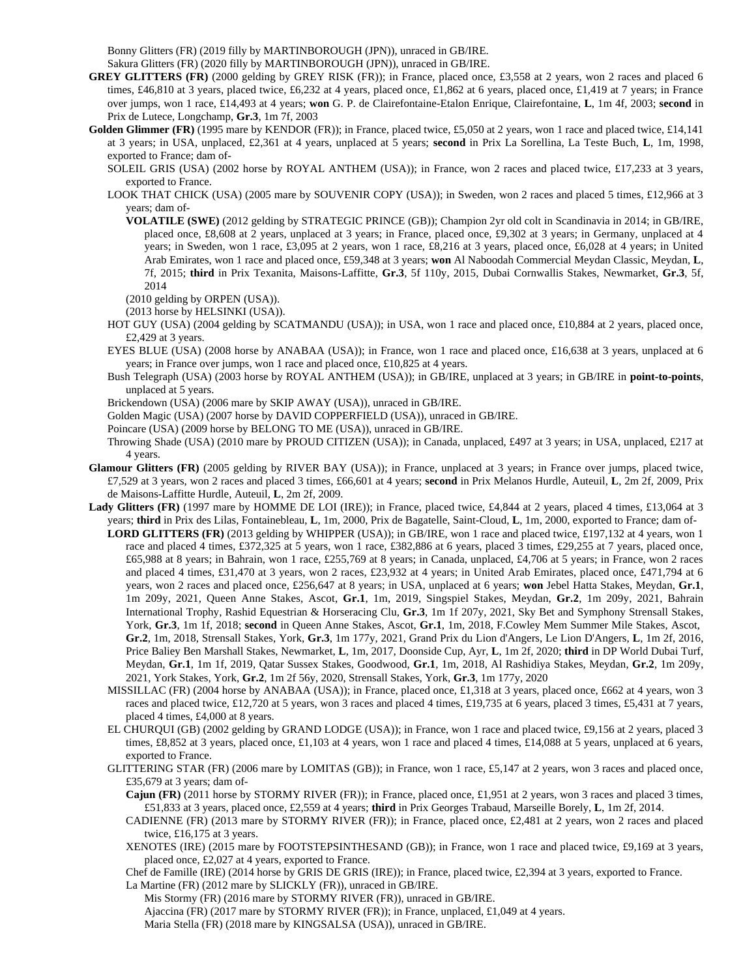Bonny Glitters (FR) (2019 filly by MARTINBOROUGH (JPN)), unraced in GB/IRE.

- Sakura Glitters (FR) (2020 filly by MARTINBOROUGH (JPN)), unraced in GB/IRE.
- **GREY GLITTERS (FR)** (2000 gelding by GREY RISK (FR)); in France, placed once, £3,558 at 2 years, won 2 races and placed 6 times, £46,810 at 3 years, placed twice, £6,232 at 4 years, placed once, £1,862 at 6 years, placed once, £1,419 at 7 years; in France over jumps, won 1 race, £14,493 at 4 years; **won** G. P. de Clairefontaine-Etalon Enrique, Clairefontaine, **L**, 1m 4f, 2003; **second** in Prix de Lutece, Longchamp, **Gr.3**, 1m 7f, 2003
- Golden Glimmer (FR) (1995 mare by KENDOR (FR)); in France, placed twice, £5,050 at 2 years, won 1 race and placed twice, £14,141 at 3 years; in USA, unplaced, £2,361 at 4 years, unplaced at 5 years; **second** in Prix La Sorellina, La Teste Buch, **L**, 1m, 1998, exported to France; dam of-
	- SOLEIL GRIS (USA) (2002 horse by ROYAL ANTHEM (USA)); in France, won 2 races and placed twice, £17,233 at 3 years, exported to France.
	- LOOK THAT CHICK (USA) (2005 mare by SOUVENIR COPY (USA)); in Sweden, won 2 races and placed 5 times, £12,966 at 3 years; dam of-
		- **VOLATILE (SWE)** (2012 gelding by STRATEGIC PRINCE (GB)); Champion 2yr old colt in Scandinavia in 2014; in GB/IRE, placed once, £8,608 at 2 years, unplaced at 3 years; in France, placed once, £9,302 at 3 years; in Germany, unplaced at 4 years; in Sweden, won 1 race, £3,095 at 2 years, won 1 race, £8,216 at 3 years, placed once, £6,028 at 4 years; in United Arab Emirates, won 1 race and placed once, £59,348 at 3 years; **won** Al Naboodah Commercial Meydan Classic, Meydan, **L**, 7f, 2015; **third** in Prix Texanita, Maisons-Laffitte, **Gr.3**, 5f 110y, 2015, Dubai Cornwallis Stakes, Newmarket, **Gr.3**, 5f, 2014

(2010 gelding by ORPEN (USA)).

(2013 horse by HELSINKI (USA)).

- HOT GUY (USA) (2004 gelding by SCATMANDU (USA)); in USA, won 1 race and placed once, £10,884 at 2 years, placed once, £2,429 at 3 years.
- EYES BLUE (USA) (2008 horse by ANABAA (USA)); in France, won 1 race and placed once, £16,638 at 3 years, unplaced at 6 years; in France over jumps, won 1 race and placed once, £10,825 at 4 years.
- Bush Telegraph (USA) (2003 horse by ROYAL ANTHEM (USA)); in GB/IRE, unplaced at 3 years; in GB/IRE in **point-to-points**, unplaced at 5 years.
- Brickendown (USA) (2006 mare by SKIP AWAY (USA)), unraced in GB/IRE.
- Golden Magic (USA) (2007 horse by DAVID COPPERFIELD (USA)), unraced in GB/IRE.
- Poincare (USA) (2009 horse by BELONG TO ME (USA)), unraced in GB/IRE.
- Throwing Shade (USA) (2010 mare by PROUD CITIZEN (USA)); in Canada, unplaced, £497 at 3 years; in USA, unplaced, £217 at 4 years.
- **Glamour Glitters (FR)** (2005 gelding by RIVER BAY (USA)); in France, unplaced at 3 years; in France over jumps, placed twice, £7,529 at 3 years, won 2 races and placed 3 times, £66,601 at 4 years; **second** in Prix Melanos Hurdle, Auteuil, **L**, 2m 2f, 2009, Prix de Maisons-Laffitte Hurdle, Auteuil, **L**, 2m 2f, 2009.
- Lady Glitters (FR) (1997 mare by HOMME DE LOI (IRE)); in France, placed twice, £4,844 at 2 years, placed 4 times, £13,064 at 3 years; **third** in Prix des Lilas, Fontainebleau, **L**, 1m, 2000, Prix de Bagatelle, Saint-Cloud, **L**, 1m, 2000, exported to France; dam of-
	- **LORD GLITTERS (FR)** (2013 gelding by WHIPPER (USA)); in GB/IRE, won 1 race and placed twice, £197,132 at 4 years, won 1 race and placed 4 times, £372,325 at 5 years, won 1 race, £382,886 at 6 years, placed 3 times, £29,255 at 7 years, placed once, £65,988 at 8 years; in Bahrain, won 1 race, £255,769 at 8 years; in Canada, unplaced, £4,706 at 5 years; in France, won 2 races and placed 4 times, £31,470 at 3 years, won 2 races, £23,932 at 4 years; in United Arab Emirates, placed once, £471,794 at 6 years, won 2 races and placed once, £256,647 at 8 years; in USA, unplaced at 6 years; **won** Jebel Hatta Stakes, Meydan, **Gr.1**, 1m 209y, 2021, Queen Anne Stakes, Ascot, **Gr.1**, 1m, 2019, Singspiel Stakes, Meydan, **Gr.2**, 1m 209y, 2021, Bahrain International Trophy, Rashid Equestrian & Horseracing Clu, **Gr.3**, 1m 1f 207y, 2021, Sky Bet and Symphony Strensall Stakes, York, **Gr.3**, 1m 1f, 2018; **second** in Queen Anne Stakes, Ascot, **Gr.1**, 1m, 2018, F.Cowley Mem Summer Mile Stakes, Ascot, **Gr.2**, 1m, 2018, Strensall Stakes, York, **Gr.3**, 1m 177y, 2021, Grand Prix du Lion d'Angers, Le Lion D'Angers, **L**, 1m 2f, 2016, Price Baliey Ben Marshall Stakes, Newmarket, **L**, 1m, 2017, Doonside Cup, Ayr, **L**, 1m 2f, 2020; **third** in DP World Dubai Turf, Meydan, **Gr.1**, 1m 1f, 2019, Qatar Sussex Stakes, Goodwood, **Gr.1**, 1m, 2018, Al Rashidiya Stakes, Meydan, **Gr.2**, 1m 209y, 2021, York Stakes, York, **Gr.2**, 1m 2f 56y, 2020, Strensall Stakes, York, **Gr.3**, 1m 177y, 2020
	- MISSILLAC (FR) (2004 horse by ANABAA (USA)); in France, placed once, £1,318 at 3 years, placed once, £662 at 4 years, won 3 races and placed twice, £12,720 at 5 years, won 3 races and placed 4 times, £19,735 at 6 years, placed 3 times, £5,431 at 7 years, placed 4 times, £4,000 at 8 years.
	- EL CHURQUI (GB) (2002 gelding by GRAND LODGE (USA)); in France, won 1 race and placed twice, £9,156 at 2 years, placed 3 times, £8,852 at 3 years, placed once, £1,103 at 4 years, won 1 race and placed 4 times, £14,088 at 5 years, unplaced at 6 years, exported to France.
	- GLITTERING STAR (FR) (2006 mare by LOMITAS (GB)); in France, won 1 race, £5,147 at 2 years, won 3 races and placed once, £35,679 at 3 years; dam of-
		- **Cajun (FR)** (2011 horse by STORMY RIVER (FR)); in France, placed once, £1,951 at 2 years, won 3 races and placed 3 times, £51,833 at 3 years, placed once, £2,559 at 4 years; **third** in Prix Georges Trabaud, Marseille Borely, **L**, 1m 2f, 2014.
		- CADIENNE (FR) (2013 mare by STORMY RIVER (FR)); in France, placed once, £2,481 at 2 years, won 2 races and placed twice, £16,175 at 3 years.
		- XENOTES (IRE) (2015 mare by FOOTSTEPSINTHESAND (GB)); in France, won 1 race and placed twice, £9,169 at 3 years, placed once, £2,027 at 4 years, exported to France.
		- Chef de Famille (IRE) (2014 horse by GRIS DE GRIS (IRE)); in France, placed twice, £2,394 at 3 years, exported to France.
		- La Martine (FR) (2012 mare by SLICKLY (FR)), unraced in GB/IRE.

Mis Stormy (FR) (2016 mare by STORMY RIVER (FR)), unraced in GB/IRE. Ajaccina (FR) (2017 mare by STORMY RIVER (FR)); in France, unplaced, £1,049 at 4 years.

Maria Stella (FR) (2018 mare by KINGSALSA (USA)), unraced in GB/IRE.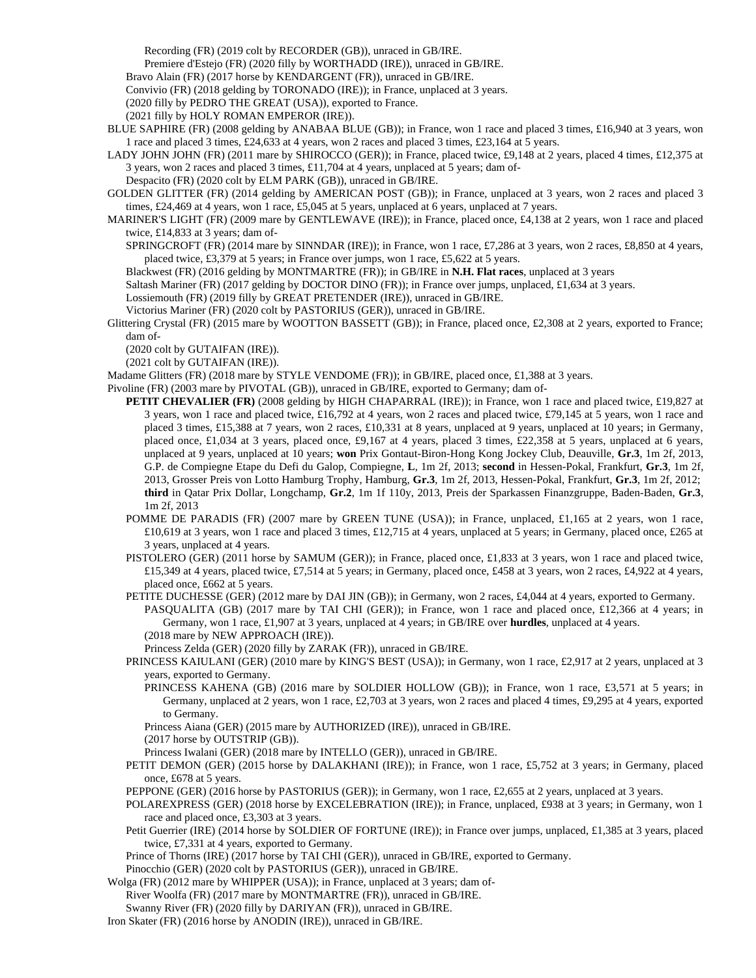Recording (FR) (2019 colt by RECORDER (GB)), unraced in GB/IRE.

Premiere d'Estejo (FR) (2020 filly by WORTHADD (IRE)), unraced in GB/IRE.

Bravo Alain (FR) (2017 horse by KENDARGENT (FR)), unraced in GB/IRE.

Convivio (FR) (2018 gelding by TORONADO (IRE)); in France, unplaced at 3 years.

(2020 filly by PEDRO THE GREAT (USA)), exported to France.

(2021 filly by HOLY ROMAN EMPEROR (IRE)).

- BLUE SAPHIRE (FR) (2008 gelding by ANABAA BLUE (GB)); in France, won 1 race and placed 3 times, £16,940 at 3 years, won 1 race and placed 3 times, £24,633 at 4 years, won 2 races and placed 3 times, £23,164 at 5 years.
- LADY JOHN JOHN (FR) (2011 mare by SHIROCCO (GER)); in France, placed twice, £9,148 at 2 years, placed 4 times, £12,375 at 3 years, won 2 races and placed 3 times, £11,704 at 4 years, unplaced at 5 years; dam of-

Despacito (FR) (2020 colt by ELM PARK (GB)), unraced in GB/IRE.

- GOLDEN GLITTER (FR) (2014 gelding by AMERICAN POST (GB)); in France, unplaced at 3 years, won 2 races and placed 3 times, £24,469 at 4 years, won 1 race, £5,045 at 5 years, unplaced at 6 years, unplaced at 7 years.
- MARINER'S LIGHT (FR) (2009 mare by GENTLEWAVE (IRE)); in France, placed once, £4,138 at 2 years, won 1 race and placed twice, £14,833 at 3 years; dam of-
	- SPRINGCROFT (FR) (2014 mare by SINNDAR (IRE)); in France, won 1 race, £7,286 at 3 years, won 2 races, £8,850 at 4 years, placed twice, £3,379 at 5 years; in France over jumps, won 1 race, £5,622 at 5 years.

Blackwest (FR) (2016 gelding by MONTMARTRE (FR)); in GB/IRE in **N.H. Flat races**, unplaced at 3 years

Saltash Mariner (FR) (2017 gelding by DOCTOR DINO (FR)); in France over jumps, unplaced, £1,634 at 3 years.

Lossiemouth (FR) (2019 filly by GREAT PRETENDER (IRE)), unraced in GB/IRE.

Victorius Mariner (FR) (2020 colt by PASTORIUS (GER)), unraced in GB/IRE.

Glittering Crystal (FR) (2015 mare by WOOTTON BASSETT (GB)); in France, placed once, £2,308 at 2 years, exported to France; dam of-

(2020 colt by GUTAIFAN (IRE)).

(2021 colt by GUTAIFAN (IRE)).

Madame Glitters (FR) (2018 mare by STYLE VENDOME (FR)); in GB/IRE, placed once, £1,388 at 3 years.

Pivoline (FR) (2003 mare by PIVOTAL (GB)), unraced in GB/IRE, exported to Germany; dam of-

- **PETIT CHEVALIER (FR)** (2008 gelding by HIGH CHAPARRAL (IRE)); in France, won 1 race and placed twice, £19,827 at 3 years, won 1 race and placed twice, £16,792 at 4 years, won 2 races and placed twice, £79,145 at 5 years, won 1 race and placed 3 times, £15,388 at 7 years, won 2 races, £10,331 at 8 years, unplaced at 9 years, unplaced at 10 years; in Germany, placed once, £1,034 at 3 years, placed once, £9,167 at 4 years, placed 3 times, £22,358 at 5 years, unplaced at 6 years, unplaced at 9 years, unplaced at 10 years; **won** Prix Gontaut-Biron-Hong Kong Jockey Club, Deauville, **Gr.3**, 1m 2f, 2013, G.P. de Compiegne Etape du Defi du Galop, Compiegne, **L**, 1m 2f, 2013; **second** in Hessen-Pokal, Frankfurt, **Gr.3**, 1m 2f, 2013, Grosser Preis von Lotto Hamburg Trophy, Hamburg, **Gr.3**, 1m 2f, 2013, Hessen-Pokal, Frankfurt, **Gr.3**, 1m 2f, 2012; **third** in Qatar Prix Dollar, Longchamp, **Gr.2**, 1m 1f 110y, 2013, Preis der Sparkassen Finanzgruppe, Baden-Baden, **Gr.3**, 1m 2f, 2013
- POMME DE PARADIS (FR) (2007 mare by GREEN TUNE (USA)); in France, unplaced, £1,165 at 2 years, won 1 race,  $£10,619$  at 3 years, won 1 race and placed 3 times, £12,715 at 4 years, unplaced at 5 years; in Germany, placed once, £265 at 3 years, unplaced at 4 years.
- PISTOLERO (GER) (2011 horse by SAMUM (GER)); in France, placed once, £1,833 at 3 years, won 1 race and placed twice, £15,349 at 4 years, placed twice, £7,514 at 5 years; in Germany, placed once, £458 at 3 years, won 2 races, £4,922 at 4 years, placed once, £662 at 5 years.
- PETITE DUCHESSE (GER) (2012 mare by DAI JIN (GB)); in Germany, won 2 races, £4,044 at 4 years, exported to Germany.

PASQUALITA (GB) (2017 mare by TAI CHI (GER)); in France, won 1 race and placed once, £12,366 at 4 years; in Germany, won 1 race, £1,907 at 3 years, unplaced at 4 years; in GB/IRE over **hurdles**, unplaced at 4 years.

(2018 mare by NEW APPROACH (IRE)).

Princess Zelda (GER) (2020 filly by ZARAK (FR)), unraced in GB/IRE.

- PRINCESS KAIULANI (GER) (2010 mare by KING'S BEST (USA)); in Germany, won 1 race, £2,917 at 2 years, unplaced at 3 years, exported to Germany.
	- PRINCESS KAHENA (GB) (2016 mare by SOLDIER HOLLOW (GB)); in France, won 1 race, £3,571 at 5 years; in Germany, unplaced at 2 years, won 1 race, £2,703 at 3 years, won 2 races and placed 4 times, £9,295 at 4 years, exported to Germany.

Princess Aiana (GER) (2015 mare by AUTHORIZED (IRE)), unraced in GB/IRE.

(2017 horse by OUTSTRIP (GB)).

Princess Iwalani (GER) (2018 mare by INTELLO (GER)), unraced in GB/IRE.

PETIT DEMON (GER) (2015 horse by DALAKHANI (IRE)); in France, won 1 race, £5,752 at 3 years; in Germany, placed once, £678 at 5 years.

PEPPONE (GER) (2016 horse by PASTORIUS (GER)); in Germany, won 1 race, £2,655 at 2 years, unplaced at 3 years.

- POLAREXPRESS (GER) (2018 horse by EXCELEBRATION (IRE)); in France, unplaced, £938 at 3 years; in Germany, won 1 race and placed once, £3,303 at 3 years.
- Petit Guerrier (IRE) (2014 horse by SOLDIER OF FORTUNE (IRE)); in France over jumps, unplaced, £1,385 at 3 years, placed twice, £7,331 at 4 years, exported to Germany.
- Prince of Thorns (IRE) (2017 horse by TAI CHI (GER)), unraced in GB/IRE, exported to Germany.

Pinocchio (GER) (2020 colt by PASTORIUS (GER)), unraced in GB/IRE.

Wolga (FR) (2012 mare by WHIPPER (USA)); in France, unplaced at 3 years; dam of-

River Woolfa (FR) (2017 mare by MONTMARTRE (FR)), unraced in GB/IRE.

Swanny River (FR) (2020 filly by DARIYAN (FR)), unraced in GB/IRE.

Iron Skater (FR) (2016 horse by ANODIN (IRE)), unraced in GB/IRE.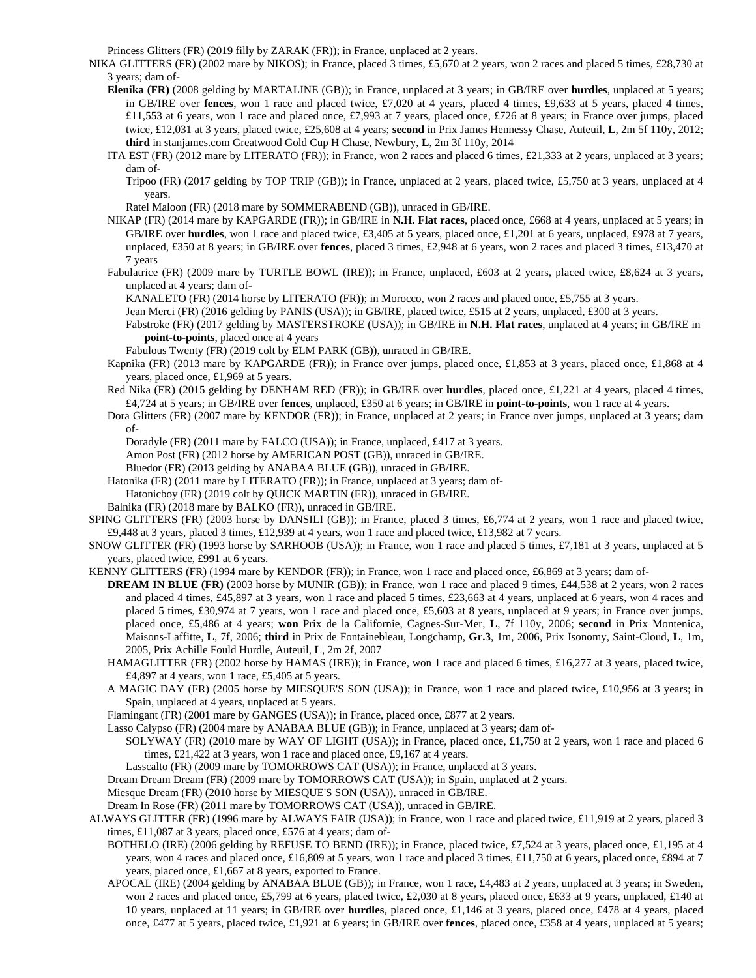Princess Glitters (FR) (2019 filly by ZARAK (FR)); in France, unplaced at 2 years.

- NIKA GLITTERS (FR) (2002 mare by NIKOS); in France, placed 3 times, £5,670 at 2 years, won 2 races and placed 5 times, £28,730 at 3 years; dam of-
	- **Elenika (FR)** (2008 gelding by MARTALINE (GB)); in France, unplaced at 3 years; in GB/IRE over **hurdles**, unplaced at 5 years; in GB/IRE over **fences**, won 1 race and placed twice, £7,020 at 4 years, placed 4 times, £9,633 at 5 years, placed 4 times, £11,553 at 6 years, won 1 race and placed once, £7,993 at 7 years, placed once, £726 at 8 years; in France over jumps, placed twice, £12,031 at 3 years, placed twice, £25,608 at 4 years; **second** in Prix James Hennessy Chase, Auteuil, **L**, 2m 5f 110y, 2012; **third** in stanjames.com Greatwood Gold Cup H Chase, Newbury, **L**, 2m 3f 110y, 2014
	- ITA EST (FR) (2012 mare by LITERATO (FR)); in France, won 2 races and placed 6 times, £21,333 at 2 years, unplaced at 3 years; dam of-

Tripoo (FR) (2017 gelding by TOP TRIP (GB)); in France, unplaced at 2 years, placed twice, £5,750 at 3 years, unplaced at 4 years.

Ratel Maloon (FR) (2018 mare by SOMMERABEND (GB)), unraced in GB/IRE.

- NIKAP (FR) (2014 mare by KAPGARDE (FR)); in GB/IRE in **N.H. Flat races**, placed once, £668 at 4 years, unplaced at 5 years; in GB/IRE over **hurdles**, won 1 race and placed twice, £3,405 at 5 years, placed once, £1,201 at 6 years, unplaced, £978 at 7 years, unplaced, £350 at 8 years; in GB/IRE over **fences**, placed 3 times, £2,948 at 6 years, won 2 races and placed 3 times, £13,470 at 7 years
- Fabulatrice (FR) (2009 mare by TURTLE BOWL (IRE)); in France, unplaced, £603 at 2 years, placed twice, £8,624 at 3 years, unplaced at 4 years; dam of-

KANALETO (FR) (2014 horse by LITERATO (FR)); in Morocco, won 2 races and placed once, £5,755 at 3 years.

- Jean Merci (FR) (2016 gelding by PANIS (USA)); in GB/IRE, placed twice, £515 at 2 years, unplaced, £300 at 3 years.
- Fabstroke (FR) (2017 gelding by MASTERSTROKE (USA)); in GB/IRE in **N.H. Flat races**, unplaced at 4 years; in GB/IRE in **point-to-points**, placed once at 4 years

Fabulous Twenty (FR) (2019 colt by ELM PARK (GB)), unraced in GB/IRE.

- Kapnika (FR) (2013 mare by KAPGARDE (FR)); in France over jumps, placed once, £1,853 at 3 years, placed once, £1,868 at 4 years, placed once, £1,969 at 5 years.
- Red Nika (FR) (2015 gelding by DENHAM RED (FR)); in GB/IRE over **hurdles**, placed once, £1,221 at 4 years, placed 4 times, £4,724 at 5 years; in GB/IRE over **fences**, unplaced, £350 at 6 years; in GB/IRE in **point-to-points**, won 1 race at 4 years.
- Dora Glitters (FR) (2007 mare by KENDOR (FR)); in France, unplaced at 2 years; in France over jumps, unplaced at 3 years; dam of-

Doradyle (FR) (2011 mare by FALCO (USA)); in France, unplaced, £417 at 3 years.

Amon Post (FR) (2012 horse by AMERICAN POST (GB)), unraced in GB/IRE.

- Bluedor (FR) (2013 gelding by ANABAA BLUE (GB)), unraced in GB/IRE.
- Hatonika (FR) (2011 mare by LITERATO (FR)); in France, unplaced at 3 years; dam of-Hatonicboy (FR) (2019 colt by QUICK MARTIN (FR)), unraced in GB/IRE.
- Balnika (FR) (2018 mare by BALKO (FR)), unraced in GB/IRE.
- SPING GLITTERS (FR) (2003 horse by DANSILI (GB)); in France, placed 3 times, £6,774 at 2 years, won 1 race and placed twice, £9,448 at 3 years, placed 3 times, £12,939 at 4 years, won 1 race and placed twice, £13,982 at 7 years.
- SNOW GLITTER (FR) (1993 horse by SARHOOB (USA)); in France, won 1 race and placed 5 times, £7,181 at 3 years, unplaced at 5 years, placed twice, £991 at 6 years.

KENNY GLITTERS (FR) (1994 mare by KENDOR (FR)); in France, won 1 race and placed once, £6,869 at 3 years; dam of-

- **DREAM IN BLUE (FR)** (2003 horse by MUNIR (GB)); in France, won 1 race and placed 9 times, £44,538 at 2 years, won 2 races and placed 4 times, £45,897 at 3 years, won 1 race and placed 5 times, £23,663 at 4 years, unplaced at 6 years, won 4 races and placed 5 times, £30,974 at 7 years, won 1 race and placed once, £5,603 at 8 years, unplaced at 9 years; in France over jumps, placed once, £5,486 at 4 years; **won** Prix de la Californie, Cagnes-Sur-Mer, **L**, 7f 110y, 2006; **second** in Prix Montenica, Maisons-Laffitte, **L**, 7f, 2006; **third** in Prix de Fontainebleau, Longchamp, **Gr.3**, 1m, 2006, Prix Isonomy, Saint-Cloud, **L**, 1m, 2005, Prix Achille Fould Hurdle, Auteuil, **L**, 2m 2f, 2007
- HAMAGLITTER (FR) (2002 horse by HAMAS (IRE)); in France, won 1 race and placed 6 times, £16,277 at 3 years, placed twice, £4,897 at 4 years, won 1 race, £5,405 at 5 years.
- A MAGIC DAY (FR) (2005 horse by MIESQUE'S SON (USA)); in France, won 1 race and placed twice, £10,956 at 3 years; in Spain, unplaced at 4 years, unplaced at 5 years.
- Flamingant (FR) (2001 mare by GANGES (USA)); in France, placed once, £877 at 2 years.

Lasso Calypso (FR) (2004 mare by ANABAA BLUE (GB)); in France, unplaced at 3 years; dam of-

SOLYWAY (FR) (2010 mare by WAY OF LIGHT (USA)); in France, placed once, £1,750 at 2 years, won 1 race and placed 6 times, £21,422 at 3 years, won 1 race and placed once, £9,167 at 4 years.

Lasscalto (FR) (2009 mare by TOMORROWS CAT (USA)); in France, unplaced at 3 years.

Dream Dream Dream (FR) (2009 mare by TOMORROWS CAT (USA)); in Spain, unplaced at 2 years.

Miesque Dream (FR) (2010 horse by MIESQUE'S SON (USA)), unraced in GB/IRE.

Dream In Rose (FR) (2011 mare by TOMORROWS CAT (USA)), unraced in GB/IRE.

- ALWAYS GLITTER (FR) (1996 mare by ALWAYS FAIR (USA)); in France, won 1 race and placed twice, £11,919 at 2 years, placed 3 times, £11,087 at 3 years, placed once, £576 at 4 years; dam of-
	- BOTHELO (IRE) (2006 gelding by REFUSE TO BEND (IRE)); in France, placed twice, £7,524 at 3 years, placed once, £1,195 at 4 years, won 4 races and placed once, £16,809 at 5 years, won 1 race and placed 3 times, £11,750 at 6 years, placed once, £894 at 7 years, placed once, £1,667 at 8 years, exported to France.
	- APOCAL (IRE) (2004 gelding by ANABAA BLUE (GB)); in France, won 1 race, £4,483 at 2 years, unplaced at 3 years; in Sweden, won 2 races and placed once, £5,799 at 6 years, placed twice, £2,030 at 8 years, placed once, £633 at 9 years, unplaced, £140 at 10 years, unplaced at 11 years; in GB/IRE over **hurdles**, placed once, £1,146 at 3 years, placed once, £478 at 4 years, placed once, £477 at 5 years, placed twice, £1,921 at 6 years; in GB/IRE over **fences**, placed once, £358 at 4 years, unplaced at 5 years;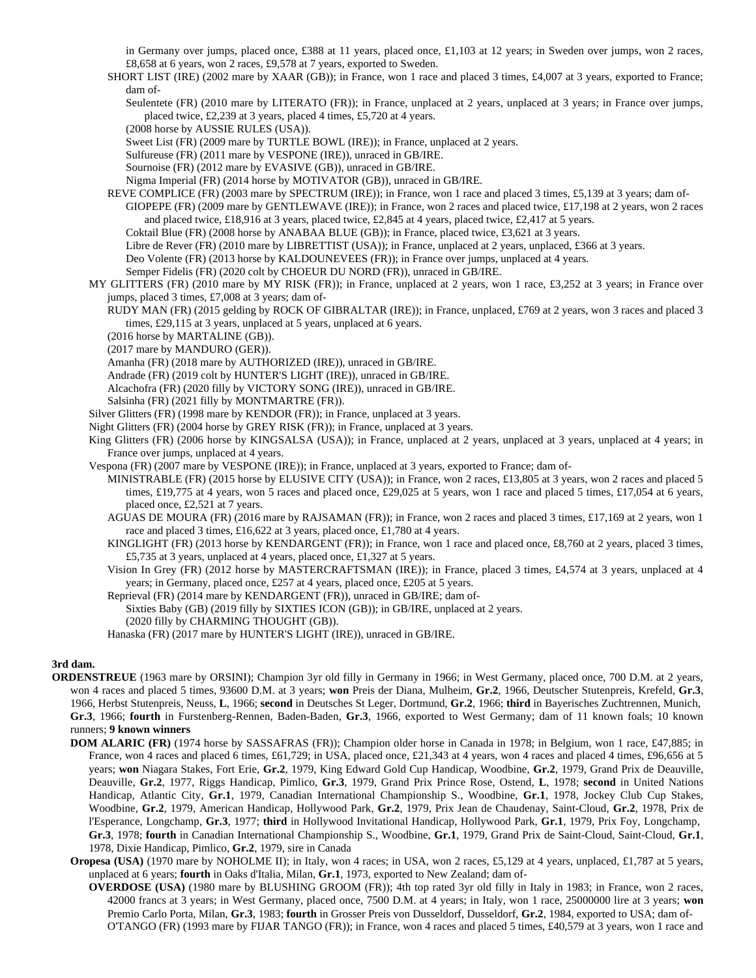in Germany over jumps, placed once, £388 at 11 years, placed once, £1,103 at 12 years; in Sweden over jumps, won 2 races, £8,658 at 6 years, won 2 races, £9,578 at 7 years, exported to Sweden.

SHORT LIST (IRE) (2002 mare by XAAR (GB)); in France, won 1 race and placed 3 times, £4,007 at 3 years, exported to France; dam of-

Seulentete (FR) (2010 mare by LITERATO (FR)); in France, unplaced at 2 years, unplaced at 3 years; in France over jumps, placed twice, £2,239 at 3 years, placed 4 times, £5,720 at 4 years.

(2008 horse by AUSSIE RULES (USA)).

Sweet List (FR) (2009 mare by TURTLE BOWL (IRE)); in France, unplaced at 2 years.

Sulfureuse (FR) (2011 mare by VESPONE (IRE)), unraced in GB/IRE.

Sournoise (FR) (2012 mare by EVASIVE (GB)), unraced in GB/IRE.

Nigma Imperial (FR) (2014 horse by MOTIVATOR (GB)), unraced in GB/IRE.

REVE COMPLICE (FR) (2003 mare by SPECTRUM (IRE)); in France, won 1 race and placed 3 times, £5,139 at 3 years; dam of-

GIOPEPE (FR) (2009 mare by GENTLEWAVE (IRE)); in France, won 2 races and placed twice, £17,198 at 2 years, won 2 races and placed twice, £18,916 at 3 years, placed twice, £2,845 at 4 years, placed twice, £2,417 at 5 years.

Coktail Blue (FR) (2008 horse by ANABAA BLUE (GB)); in France, placed twice, £3,621 at 3 years.

Libre de Rever (FR) (2010 mare by LIBRETTIST (USA)); in France, unplaced at 2 years, unplaced, £366 at 3 years.

Deo Volente (FR) (2013 horse by KALDOUNEVEES (FR)); in France over jumps, unplaced at 4 years.

- Semper Fidelis (FR) (2020 colt by CHOEUR DU NORD (FR)), unraced in GB/IRE.
- MY GLITTERS (FR) (2010 mare by MY RISK (FR)); in France, unplaced at 2 years, won 1 race, £3,252 at 3 years; in France over jumps, placed 3 times, £7,008 at 3 years; dam of-
	- RUDY MAN (FR) (2015 gelding by ROCK OF GIBRALTAR (IRE)); in France, unplaced, £769 at 2 years, won 3 races and placed 3 times, £29,115 at 3 years, unplaced at 5 years, unplaced at 6 years.

(2016 horse by MARTALINE (GB)).

(2017 mare by MANDURO (GER)).

Amanha (FR) (2018 mare by AUTHORIZED (IRE)), unraced in GB/IRE.

Andrade (FR) (2019 colt by HUNTER'S LIGHT (IRE)), unraced in GB/IRE.

Alcachofra (FR) (2020 filly by VICTORY SONG (IRE)), unraced in GB/IRE.

Salsinha (FR) (2021 filly by MONTMARTRE (FR)).

Silver Glitters (FR) (1998 mare by KENDOR (FR)); in France, unplaced at 3 years.

- Night Glitters (FR) (2004 horse by GREY RISK (FR)); in France, unplaced at 3 years.
- King Glitters (FR) (2006 horse by KINGSALSA (USA)); in France, unplaced at 2 years, unplaced at 3 years, unplaced at 4 years; in France over jumps, unplaced at 4 years.

Vespona (FR) (2007 mare by VESPONE (IRE)); in France, unplaced at 3 years, exported to France; dam of-

MINISTRABLE (FR) (2015 horse by ELUSIVE CITY (USA)); in France, won 2 races, £13,805 at 3 years, won 2 races and placed 5 times, £19,775 at 4 years, won 5 races and placed once, £29,025 at 5 years, won 1 race and placed 5 times, £17,054 at 6 years, placed once, £2,521 at 7 years.

- AGUAS DE MOURA (FR) (2016 mare by RAJSAMAN (FR)); in France, won 2 races and placed 3 times, £17,169 at 2 years, won 1 race and placed 3 times, £16,622 at 3 years, placed once, £1,780 at 4 years.
- KINGLIGHT (FR) (2013 horse by KENDARGENT (FR)); in France, won 1 race and placed once, £8,760 at 2 years, placed 3 times, £5,735 at 3 years, unplaced at 4 years, placed once, £1,327 at 5 years.
- Vision In Grey (FR) (2012 horse by MASTERCRAFTSMAN (IRE)); in France, placed 3 times, £4,574 at 3 years, unplaced at 4 years; in Germany, placed once, £257 at 4 years, placed once, £205 at 5 years.

Reprieval (FR) (2014 mare by KENDARGENT (FR)), unraced in GB/IRE; dam of-

Sixties Baby (GB) (2019 filly by SIXTIES ICON (GB)); in GB/IRE, unplaced at 2 years.

(2020 filly by CHARMING THOUGHT (GB)).

Hanaska (FR) (2017 mare by HUNTER'S LIGHT (IRE)), unraced in GB/IRE.

## **3rd dam.**

- **ORDENSTREUE** (1963 mare by ORSINI); Champion 3yr old filly in Germany in 1966; in West Germany, placed once, 700 D.M. at 2 years, won 4 races and placed 5 times, 93600 D.M. at 3 years; **won** Preis der Diana, Mulheim, **Gr.2**, 1966, Deutscher Stutenpreis, Krefeld, **Gr.3**, 1966, Herbst Stutenpreis, Neuss, **L**, 1966; **second** in Deutsches St Leger, Dortmund, **Gr.2**, 1966; **third** in Bayerisches Zuchtrennen, Munich, **Gr.3**, 1966; **fourth** in Furstenberg-Rennen, Baden-Baden, **Gr.3**, 1966, exported to West Germany; dam of 11 known foals; 10 known runners; **9 known winners**
	- **DOM ALARIC (FR)** (1974 horse by SASSAFRAS (FR)); Champion older horse in Canada in 1978; in Belgium, won 1 race, £47,885; in France, won 4 races and placed 6 times, £61,729; in USA, placed once, £21,343 at 4 years, won 4 races and placed 4 times, £96,656 at 5 years; **won** Niagara Stakes, Fort Erie, **Gr.2**, 1979, King Edward Gold Cup Handicap, Woodbine, **Gr.2**, 1979, Grand Prix de Deauville, Deauville, **Gr.2**, 1977, Riggs Handicap, Pimlico, **Gr.3**, 1979, Grand Prix Prince Rose, Ostend, **L**, 1978; **second** in United Nations Handicap, Atlantic City, **Gr.1**, 1979, Canadian International Championship S., Woodbine, **Gr.1**, 1978, Jockey Club Cup Stakes, Woodbine, **Gr.2**, 1979, American Handicap, Hollywood Park, **Gr.2**, 1979, Prix Jean de Chaudenay, Saint-Cloud, **Gr.2**, 1978, Prix de l'Esperance, Longchamp, **Gr.3**, 1977; **third** in Hollywood Invitational Handicap, Hollywood Park, **Gr.1**, 1979, Prix Foy, Longchamp, **Gr.3**, 1978; **fourth** in Canadian International Championship S., Woodbine, **Gr.1**, 1979, Grand Prix de Saint-Cloud, Saint-Cloud, **Gr.1**, 1978, Dixie Handicap, Pimlico, **Gr.2**, 1979, sire in Canada
	- **Oropesa (USA)** (1970 mare by NOHOLME II); in Italy, won 4 races; in USA, won 2 races, £5,129 at 4 years, unplaced, £1,787 at 5 years, unplaced at 6 years; **fourth** in Oaks d'Italia, Milan, **Gr.1**, 1973, exported to New Zealand; dam of-
		- **OVERDOSE (USA)** (1980 mare by BLUSHING GROOM (FR)); 4th top rated 3yr old filly in Italy in 1983; in France, won 2 races, 42000 francs at 3 years; in West Germany, placed once, 7500 D.M. at 4 years; in Italy, won 1 race, 25000000 lire at 3 years; **won** Premio Carlo Porta, Milan, **Gr.3**, 1983; **fourth** in Grosser Preis von Dusseldorf, Dusseldorf, **Gr.2**, 1984, exported to USA; dam of-O'TANGO (FR) (1993 mare by FIJAR TANGO (FR)); in France, won 4 races and placed 5 times, £40,579 at 3 years, won 1 race and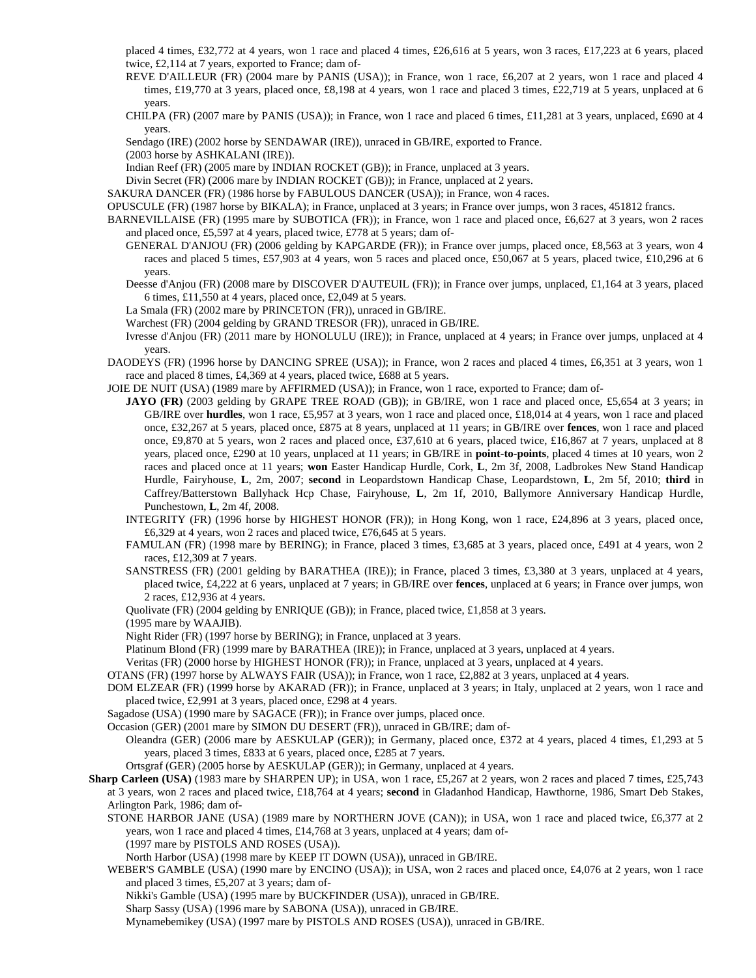placed 4 times, £32,772 at 4 years, won 1 race and placed 4 times, £26,616 at 5 years, won 3 races, £17,223 at 6 years, placed twice, £2,114 at 7 years, exported to France; dam of-

REVE D'AILLEUR (FR) (2004 mare by PANIS (USA)); in France, won 1 race, £6,207 at 2 years, won 1 race and placed 4 times, £19,770 at 3 years, placed once, £8,198 at 4 years, won 1 race and placed 3 times, £22,719 at 5 years, unplaced at 6 years.

CHILPA (FR) (2007 mare by PANIS (USA)); in France, won 1 race and placed 6 times, £11,281 at 3 years, unplaced, £690 at 4 years.

Sendago (IRE) (2002 horse by SENDAWAR (IRE)), unraced in GB/IRE, exported to France.

(2003 horse by ASHKALANI (IRE)).

Indian Reef (FR) (2005 mare by INDIAN ROCKET (GB)); in France, unplaced at 3 years.

Divin Secret (FR) (2006 mare by INDIAN ROCKET (GB)); in France, unplaced at 2 years.

SAKURA DANCER (FR) (1986 horse by FABULOUS DANCER (USA)); in France, won 4 races.

OPUSCULE (FR) (1987 horse by BIKALA); in France, unplaced at 3 years; in France over jumps, won 3 races, 451812 francs.

- BARNEVILLAISE (FR) (1995 mare by SUBOTICA (FR)); in France, won 1 race and placed once, £6,627 at 3 years, won 2 races and placed once, £5,597 at 4 years, placed twice, £778 at 5 years; dam of-
	- GENERAL D'ANJOU (FR) (2006 gelding by KAPGARDE (FR)); in France over jumps, placed once, £8,563 at 3 years, won 4 races and placed 5 times, £57,903 at 4 years, won 5 races and placed once, £50,067 at 5 years, placed twice, £10,296 at 6 years.
	- Deesse d'Anjou (FR) (2008 mare by DISCOVER D'AUTEUIL (FR)); in France over jumps, unplaced, £1,164 at 3 years, placed 6 times, £11,550 at 4 years, placed once, £2,049 at 5 years.
	- La Smala (FR) (2002 mare by PRINCETON (FR)), unraced in GB/IRE.

Warchest (FR) (2004 gelding by GRAND TRESOR (FR)), unraced in GB/IRE.

- Ivresse d'Anjou (FR) (2011 mare by HONOLULU (IRE)); in France, unplaced at 4 years; in France over jumps, unplaced at 4 years.
- DAODEYS (FR) (1996 horse by DANCING SPREE (USA)); in France, won 2 races and placed 4 times, £6,351 at 3 years, won 1 race and placed 8 times, £4,369 at 4 years, placed twice, £688 at 5 years.

JOIE DE NUIT (USA) (1989 mare by AFFIRMED (USA)); in France, won 1 race, exported to France; dam of-

- **JAYO (FR)** (2003 gelding by GRAPE TREE ROAD (GB)); in GB/IRE, won 1 race and placed once, £5,654 at 3 years; in GB/IRE over **hurdles**, won 1 race, £5,957 at 3 years, won 1 race and placed once, £18,014 at 4 years, won 1 race and placed once, £32,267 at 5 years, placed once, £875 at 8 years, unplaced at 11 years; in GB/IRE over **fences**, won 1 race and placed once, £9,870 at 5 years, won 2 races and placed once, £37,610 at 6 years, placed twice, £16,867 at 7 years, unplaced at 8 years, placed once, £290 at 10 years, unplaced at 11 years; in GB/IRE in **point-to-points**, placed 4 times at 10 years, won 2 races and placed once at 11 years; **won** Easter Handicap Hurdle, Cork, **L**, 2m 3f, 2008, Ladbrokes New Stand Handicap Hurdle, Fairyhouse, **L**, 2m, 2007; **second** in Leopardstown Handicap Chase, Leopardstown, **L**, 2m 5f, 2010; **third** in Caffrey/Batterstown Ballyhack Hcp Chase, Fairyhouse, **L**, 2m 1f, 2010, Ballymore Anniversary Handicap Hurdle, Punchestown, **L**, 2m 4f, 2008.
- INTEGRITY (FR) (1996 horse by HIGHEST HONOR (FR)); in Hong Kong, won 1 race, £24,896 at 3 years, placed once, £6,329 at 4 years, won 2 races and placed twice, £76,645 at 5 years.
- FAMULAN (FR) (1998 mare by BERING); in France, placed 3 times, £3,685 at 3 years, placed once, £491 at 4 years, won 2 races, £12,309 at 7 years.
- SANSTRESS (FR) (2001 gelding by BARATHEA (IRE)); in France, placed 3 times, £3,380 at 3 years, unplaced at 4 years, placed twice, £4,222 at 6 years, unplaced at 7 years; in GB/IRE over **fences**, unplaced at 6 years; in France over jumps, won 2 races, £12,936 at 4 years.

Quolivate (FR) (2004 gelding by ENRIQUE (GB)); in France, placed twice, £1,858 at 3 years.

(1995 mare by WAAJIB).

Night Rider (FR) (1997 horse by BERING); in France, unplaced at 3 years.

Platinum Blond (FR) (1999 mare by BARATHEA (IRE)); in France, unplaced at 3 years, unplaced at 4 years.

Veritas (FR) (2000 horse by HIGHEST HONOR (FR)); in France, unplaced at 3 years, unplaced at 4 years.

- OTANS (FR) (1997 horse by ALWAYS FAIR (USA)); in France, won 1 race, £2,882 at 3 years, unplaced at 4 years.
- DOM ELZEAR (FR) (1999 horse by AKARAD (FR)); in France, unplaced at 3 years; in Italy, unplaced at 2 years, won 1 race and placed twice, £2,991 at 3 years, placed once, £298 at 4 years.
- Sagadose (USA) (1990 mare by SAGACE (FR)); in France over jumps, placed once.

Occasion (GER) (2001 mare by SIMON DU DESERT (FR)), unraced in GB/IRE; dam of-

Oleandra (GER) (2006 mare by AESKULAP (GER)); in Germany, placed once, £372 at 4 years, placed 4 times, £1,293 at 5 years, placed 3 times, £833 at 6 years, placed once, £285 at 7 years.

Ortsgraf (GER) (2005 horse by AESKULAP (GER)); in Germany, unplaced at 4 years.

- **Sharp Carleen (USA)** (1983 mare by SHARPEN UP); in USA, won 1 race, £5,267 at 2 years, won 2 races and placed 7 times, £25,743 at 3 years, won 2 races and placed twice, £18,764 at 4 years; **second** in Gladanhod Handicap, Hawthorne, 1986, Smart Deb Stakes, Arlington Park, 1986; dam of-
	- STONE HARBOR JANE (USA) (1989 mare by NORTHERN JOVE (CAN)); in USA, won 1 race and placed twice, £6,377 at 2 years, won 1 race and placed 4 times, £14,768 at 3 years, unplaced at 4 years; dam of- (1997 mare by PISTOLS AND ROSES (USA)).
	- North Harbor (USA) (1998 mare by KEEP IT DOWN (USA)), unraced in GB/IRE.

WEBER'S GAMBLE (USA) (1990 mare by ENCINO (USA)); in USA, won 2 races and placed once, £4,076 at 2 years, won 1 race and placed 3 times, £5,207 at 3 years; dam of-

Nikki's Gamble (USA) (1995 mare by BUCKFINDER (USA)), unraced in GB/IRE.

Sharp Sassy (USA) (1996 mare by SABONA (USA)), unraced in GB/IRE.

Mynamebemikey (USA) (1997 mare by PISTOLS AND ROSES (USA)), unraced in GB/IRE.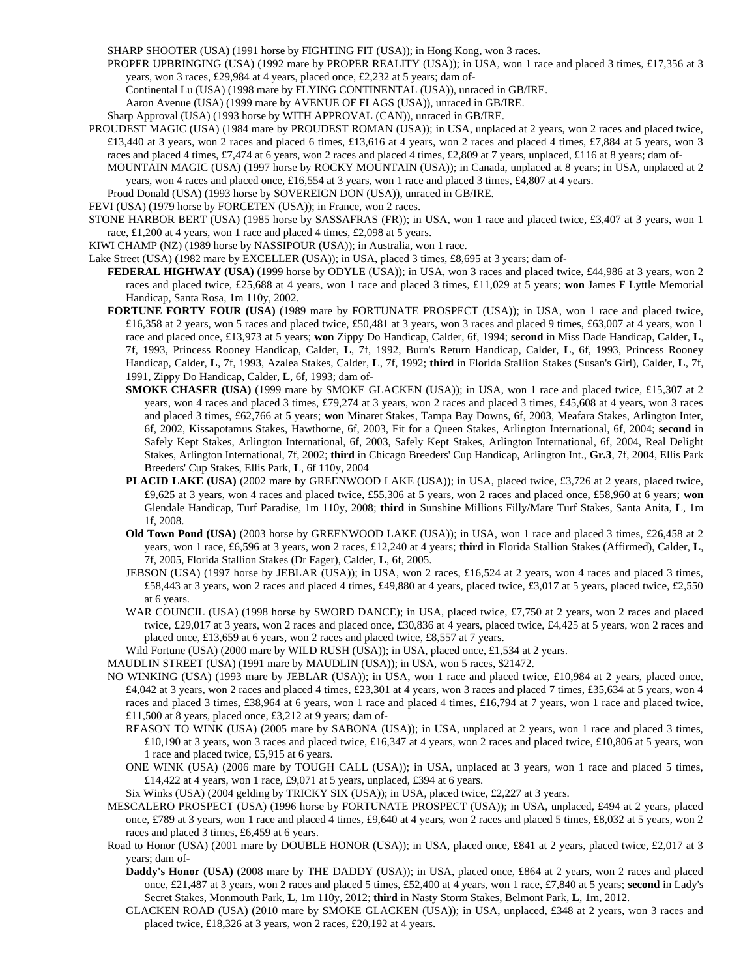SHARP SHOOTER (USA) (1991 horse by FIGHTING FIT (USA)); in Hong Kong, won 3 races.

PROPER UPBRINGING (USA) (1992 mare by PROPER REALITY (USA)); in USA, won 1 race and placed 3 times, £17,356 at 3 years, won 3 races, £29,984 at 4 years, placed once, £2,232 at 5 years; dam of-

Continental Lu (USA) (1998 mare by FLYING CONTINENTAL (USA)), unraced in GB/IRE.

Aaron Avenue (USA) (1999 mare by AVENUE OF FLAGS (USA)), unraced in GB/IRE.

- Sharp Approval (USA) (1993 horse by WITH APPROVAL (CAN)), unraced in GB/IRE.
- PROUDEST MAGIC (USA) (1984 mare by PROUDEST ROMAN (USA)); in USA, unplaced at 2 years, won 2 races and placed twice, £13,440 at 3 years, won 2 races and placed 6 times, £13,616 at 4 years, won 2 races and placed 4 times, £7,884 at 5 years, won 3 races and placed 4 times, £7,474 at 6 years, won 2 races and placed 4 times, £2,809 at 7 years, unplaced, £116 at 8 years; dam of-
	- MOUNTAIN MAGIC (USA) (1997 horse by ROCKY MOUNTAIN (USA)); in Canada, unplaced at 8 years; in USA, unplaced at 2 years, won 4 races and placed once, £16,554 at 3 years, won 1 race and placed 3 times, £4,807 at 4 years.
	- Proud Donald (USA) (1993 horse by SOVEREIGN DON (USA)), unraced in GB/IRE.

FEVI (USA) (1979 horse by FORCETEN (USA)); in France, won 2 races.

- STONE HARBOR BERT (USA) (1985 horse by SASSAFRAS (FR)); in USA, won 1 race and placed twice, £3,407 at 3 years, won 1 race, £1,200 at 4 years, won 1 race and placed 4 times, £2,098 at 5 years.
- KIWI CHAMP (NZ) (1989 horse by NASSIPOUR (USA)); in Australia, won 1 race.

Lake Street (USA) (1982 mare by EXCELLER (USA)); in USA, placed 3 times, £8,695 at 3 years; dam of-

**FEDERAL HIGHWAY (USA)** (1999 horse by ODYLE (USA)); in USA, won 3 races and placed twice, £44,986 at 3 years, won 2 races and placed twice, £25,688 at 4 years, won 1 race and placed 3 times, £11,029 at 5 years; **won** James F Lyttle Memorial Handicap, Santa Rosa, 1m 110y, 2002.

- **FORTUNE FORTY FOUR (USA)** (1989 mare by FORTUNATE PROSPECT (USA)); in USA, won 1 race and placed twice, £16,358 at 2 years, won 5 races and placed twice, £50,481 at 3 years, won 3 races and placed 9 times, £63,007 at 4 years, won 1 race and placed once, £13,973 at 5 years; **won** Zippy Do Handicap, Calder, 6f, 1994; **second** in Miss Dade Handicap, Calder, **L**, 7f, 1993, Princess Rooney Handicap, Calder, **L**, 7f, 1992, Burn's Return Handicap, Calder, **L**, 6f, 1993, Princess Rooney Handicap, Calder, **L**, 7f, 1993, Azalea Stakes, Calder, **L**, 7f, 1992; **third** in Florida Stallion Stakes (Susan's Girl), Calder, **L**, 7f, 1991, Zippy Do Handicap, Calder, **L**, 6f, 1993; dam of-
	- **SMOKE CHASER (USA)** (1999 mare by SMOKE GLACKEN (USA)); in USA, won 1 race and placed twice, £15,307 at 2 years, won 4 races and placed 3 times, £79,274 at 3 years, won 2 races and placed 3 times, £45,608 at 4 years, won 3 races and placed 3 times, £62,766 at 5 years; **won** Minaret Stakes, Tampa Bay Downs, 6f, 2003, Meafara Stakes, Arlington Inter, 6f, 2002, Kissapotamus Stakes, Hawthorne, 6f, 2003, Fit for a Queen Stakes, Arlington International, 6f, 2004; **second** in Safely Kept Stakes, Arlington International, 6f, 2003, Safely Kept Stakes, Arlington International, 6f, 2004, Real Delight Stakes, Arlington International, 7f, 2002; **third** in Chicago Breeders' Cup Handicap, Arlington Int., **Gr.3**, 7f, 2004, Ellis Park Breeders' Cup Stakes, Ellis Park, **L**, 6f 110y, 2004
	- **PLACID LAKE (USA)** (2002 mare by GREENWOOD LAKE (USA)); in USA, placed twice, £3,726 at 2 years, placed twice, £9,625 at 3 years, won 4 races and placed twice, £55,306 at 5 years, won 2 races and placed once, £58,960 at 6 years; **won** Glendale Handicap, Turf Paradise, 1m 110y, 2008; **third** in Sunshine Millions Filly/Mare Turf Stakes, Santa Anita, **L**, 1m 1f, 2008.
	- **Old Town Pond (USA)** (2003 horse by GREENWOOD LAKE (USA)); in USA, won 1 race and placed 3 times, £26,458 at 2 years, won 1 race, £6,596 at 3 years, won 2 races, £12,240 at 4 years; **third** in Florida Stallion Stakes (Affirmed), Calder, **L**, 7f, 2005, Florida Stallion Stakes (Dr Fager), Calder, **L**, 6f, 2005.
	- JEBSON (USA) (1997 horse by JEBLAR (USA)); in USA, won 2 races, £16,524 at 2 years, won 4 races and placed 3 times, £58,443 at 3 years, won 2 races and placed 4 times, £49,880 at 4 years, placed twice, £3,017 at 5 years, placed twice, £2,550 at 6 years.
	- WAR COUNCIL (USA) (1998 horse by SWORD DANCE); in USA, placed twice, £7,750 at 2 years, won 2 races and placed twice, £29,017 at 3 years, won 2 races and placed once, £30,836 at 4 years, placed twice, £4,425 at 5 years, won 2 races and placed once, £13,659 at 6 years, won 2 races and placed twice, £8,557 at 7 years.

Wild Fortune (USA) (2000 mare by WILD RUSH (USA)); in USA, placed once, £1,534 at 2 years.

MAUDLIN STREET (USA) (1991 mare by MAUDLIN (USA)); in USA, won 5 races, \$21472.

- NO WINKING (USA) (1993 mare by JEBLAR (USA)); in USA, won 1 race and placed twice, £10,984 at 2 years, placed once, £4,042 at 3 years, won 2 races and placed 4 times, £23,301 at 4 years, won 3 races and placed 7 times, £35,634 at 5 years, won 4 races and placed 3 times, £38,964 at 6 years, won 1 race and placed 4 times, £16,794 at 7 years, won 1 race and placed twice, £11,500 at 8 years, placed once, £3,212 at 9 years; dam of-
	- REASON TO WINK (USA) (2005 mare by SABONA (USA)); in USA, unplaced at 2 years, won 1 race and placed 3 times, £10,190 at 3 years, won 3 races and placed twice, £16,347 at 4 years, won 2 races and placed twice, £10,806 at 5 years, won 1 race and placed twice, £5,915 at 6 years.
	- ONE WINK (USA) (2006 mare by TOUGH CALL (USA)); in USA, unplaced at 3 years, won 1 race and placed 5 times, £14,422 at 4 years, won 1 race, £9,071 at 5 years, unplaced, £394 at 6 years.

Six Winks (USA) (2004 gelding by TRICKY SIX (USA)); in USA, placed twice, £2,227 at 3 years.

- MESCALERO PROSPECT (USA) (1996 horse by FORTUNATE PROSPECT (USA)); in USA, unplaced, £494 at 2 years, placed once, £789 at 3 years, won 1 race and placed 4 times, £9,640 at 4 years, won 2 races and placed 5 times, £8,032 at 5 years, won 2 races and placed 3 times, £6,459 at 6 years.
- Road to Honor (USA) (2001 mare by DOUBLE HONOR (USA)); in USA, placed once, £841 at 2 years, placed twice, £2,017 at 3 years; dam of-
	- **Daddy's Honor (USA)** (2008 mare by THE DADDY (USA)); in USA, placed once, £864 at 2 years, won 2 races and placed once, £21,487 at 3 years, won 2 races and placed 5 times, £52,400 at 4 years, won 1 race, £7,840 at 5 years; **second** in Lady's Secret Stakes, Monmouth Park, **L**, 1m 110y, 2012; **third** in Nasty Storm Stakes, Belmont Park, **L**, 1m, 2012.
	- GLACKEN ROAD (USA) (2010 mare by SMOKE GLACKEN (USA)); in USA, unplaced, £348 at 2 years, won 3 races and placed twice, £18,326 at 3 years, won 2 races, £20,192 at 4 years.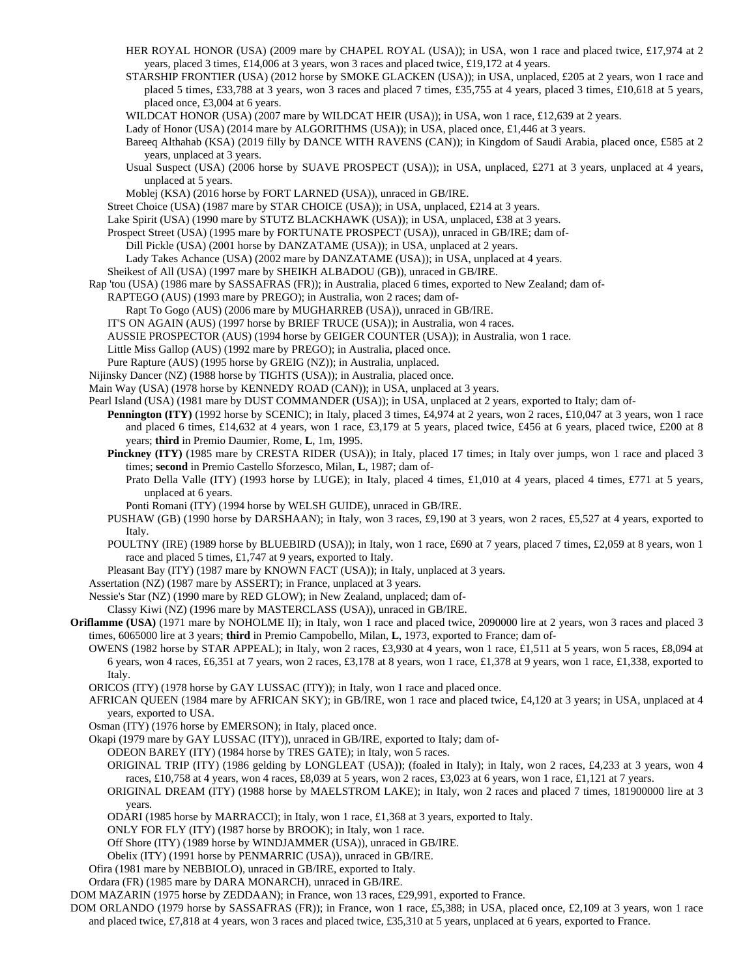- HER ROYAL HONOR (USA) (2009 mare by CHAPEL ROYAL (USA)); in USA, won 1 race and placed twice, £17,974 at 2 years, placed 3 times, £14,006 at 3 years, won 3 races and placed twice, £19,172 at 4 years.
- STARSHIP FRONTIER (USA) (2012 horse by SMOKE GLACKEN (USA)); in USA, unplaced, £205 at 2 years, won 1 race and placed 5 times, £33,788 at 3 years, won 3 races and placed 7 times, £35,755 at 4 years, placed 3 times, £10,618 at 5 years, placed once, £3,004 at 6 years.
- WILDCAT HONOR (USA) (2007 mare by WILDCAT HEIR (USA)); in USA, won 1 race, £12,639 at 2 years.
- Lady of Honor (USA) (2014 mare by ALGORITHMS (USA)); in USA, placed once, £1,446 at 3 years.
- Bareeq Althahab (KSA) (2019 filly by DANCE WITH RAVENS (CAN)); in Kingdom of Saudi Arabia, placed once, £585 at 2 years, unplaced at 3 years.
- Usual Suspect (USA) (2006 horse by SUAVE PROSPECT (USA)); in USA, unplaced, £271 at 3 years, unplaced at 4 years, unplaced at 5 years.
- Moblej (KSA) (2016 horse by FORT LARNED (USA)), unraced in GB/IRE.
- Street Choice (USA) (1987 mare by STAR CHOICE (USA)); in USA, unplaced, £214 at 3 years.
- Lake Spirit (USA) (1990 mare by STUTZ BLACKHAWK (USA)); in USA, unplaced, £38 at 3 years.
- Prospect Street (USA) (1995 mare by FORTUNATE PROSPECT (USA)), unraced in GB/IRE; dam of-
	- Dill Pickle (USA) (2001 horse by DANZATAME (USA)); in USA, unplaced at 2 years.
	- Lady Takes Achance (USA) (2002 mare by DANZATAME (USA)); in USA, unplaced at 4 years.
- Sheikest of All (USA) (1997 mare by SHEIKH ALBADOU (GB)), unraced in GB/IRE.
- Rap 'tou (USA) (1986 mare by SASSAFRAS (FR)); in Australia, placed 6 times, exported to New Zealand; dam of-
	- RAPTEGO (AUS) (1993 mare by PREGO); in Australia, won 2 races; dam of-
	- Rapt To Gogo (AUS) (2006 mare by MUGHARREB (USA)), unraced in GB/IRE.
	- IT'S ON AGAIN (AUS) (1997 horse by BRIEF TRUCE (USA)); in Australia, won 4 races.
	- AUSSIE PROSPECTOR (AUS) (1994 horse by GEIGER COUNTER (USA)); in Australia, won 1 race.
	- Little Miss Gallop (AUS) (1992 mare by PREGO); in Australia, placed once.
	- Pure Rapture (AUS) (1995 horse by GREIG (NZ)); in Australia, unplaced.
- Nijinsky Dancer (NZ) (1988 horse by TIGHTS (USA)); in Australia, placed once.
- Main Way (USA) (1978 horse by KENNEDY ROAD (CAN)); in USA, unplaced at 3 years.
- Pearl Island (USA) (1981 mare by DUST COMMANDER (USA)); in USA, unplaced at 2 years, exported to Italy; dam of-
	- **Pennington (ITY)** (1992 horse by SCENIC); in Italy, placed 3 times, £4,974 at 2 years, won 2 races, £10,047 at 3 years, won 1 race and placed 6 times, £14,632 at 4 years, won 1 race, £3,179 at 5 years, placed twice, £456 at 6 years, placed twice, £200 at 8 years; **third** in Premio Daumier, Rome, **L**, 1m, 1995.
	- Pinckney (ITY) (1985 mare by CRESTA RIDER (USA)); in Italy, placed 17 times; in Italy over jumps, won 1 race and placed 3 times; **second** in Premio Castello Sforzesco, Milan, **L**, 1987; dam of-
		- Prato Della Valle (ITY) (1993 horse by LUGE); in Italy, placed 4 times, £1,010 at 4 years, placed 4 times, £771 at 5 years, unplaced at 6 years.
		- Ponti Romani (ITY) (1994 horse by WELSH GUIDE), unraced in GB/IRE.
	- PUSHAW (GB) (1990 horse by DARSHAAN); in Italy, won 3 races, £9,190 at 3 years, won 2 races, £5,527 at 4 years, exported to Italy.
	- POULTNY (IRE) (1989 horse by BLUEBIRD (USA)); in Italy, won 1 race, £690 at 7 years, placed 7 times, £2,059 at 8 years, won 1 race and placed 5 times, £1,747 at 9 years, exported to Italy.
- Pleasant Bay (ITY) (1987 mare by KNOWN FACT (USA)); in Italy, unplaced at 3 years.
- Assertation (NZ) (1987 mare by ASSERT); in France, unplaced at 3 years.
- Nessie's Star (NZ) (1990 mare by RED GLOW); in New Zealand, unplaced; dam of-
- Classy Kiwi (NZ) (1996 mare by MASTERCLASS (USA)), unraced in GB/IRE.
- **Oriflamme (USA)** (1971 mare by NOHOLME II); in Italy, won 1 race and placed twice, 2090000 lire at 2 years, won 3 races and placed 3 times, 6065000 lire at 3 years; **third** in Premio Campobello, Milan, **L**, 1973, exported to France; dam of-
	- OWENS (1982 horse by STAR APPEAL); in Italy, won 2 races, £3,930 at 4 years, won 1 race, £1,511 at 5 years, won 5 races, £8,094 at 6 years, won 4 races, £6,351 at 7 years, won 2 races, £3,178 at 8 years, won 1 race, £1,378 at 9 years, won 1 race, £1,338, exported to Italy.
	- ORICOS (ITY) (1978 horse by GAY LUSSAC (ITY)); in Italy, won 1 race and placed once.
	- AFRICAN QUEEN (1984 mare by AFRICAN SKY); in GB/IRE, won 1 race and placed twice, £4,120 at 3 years; in USA, unplaced at 4 years, exported to USA.
	- Osman (ITY) (1976 horse by EMERSON); in Italy, placed once.

Okapi (1979 mare by GAY LUSSAC (ITY)), unraced in GB/IRE, exported to Italy; dam of-

- ODEON BAREY (ITY) (1984 horse by TRES GATE); in Italy, won 5 races.
- ORIGINAL TRIP (ITY) (1986 gelding by LONGLEAT (USA)); (foaled in Italy); in Italy, won 2 races, £4,233 at 3 years, won 4 races, £10,758 at 4 years, won 4 races, £8,039 at 5 years, won 2 races, £3,023 at 6 years, won 1 race, £1,121 at 7 years.
- ORIGINAL DREAM (ITY) (1988 horse by MAELSTROM LAKE); in Italy, won 2 races and placed 7 times, 181900000 lire at 3 years.
- ODARI (1985 horse by MARRACCI); in Italy, won 1 race, £1,368 at 3 years, exported to Italy.
- ONLY FOR FLY (ITY) (1987 horse by BROOK); in Italy, won 1 race.
- Off Shore (ITY) (1989 horse by WINDJAMMER (USA)), unraced in GB/IRE.
- Obelix (ITY) (1991 horse by PENMARRIC (USA)), unraced in GB/IRE.
- Ofira (1981 mare by NEBBIOLO), unraced in GB/IRE, exported to Italy.
- Ordara (FR) (1985 mare by DARA MONARCH), unraced in GB/IRE.
- DOM MAZARIN (1975 horse by ZEDDAAN); in France, won 13 races, £29,991, exported to France.
- DOM ORLANDO (1979 horse by SASSAFRAS (FR)); in France, won 1 race, £5,388; in USA, placed once, £2,109 at 3 years, won 1 race and placed twice, £7,818 at 4 years, won 3 races and placed twice, £35,310 at 5 years, unplaced at 6 years, exported to France.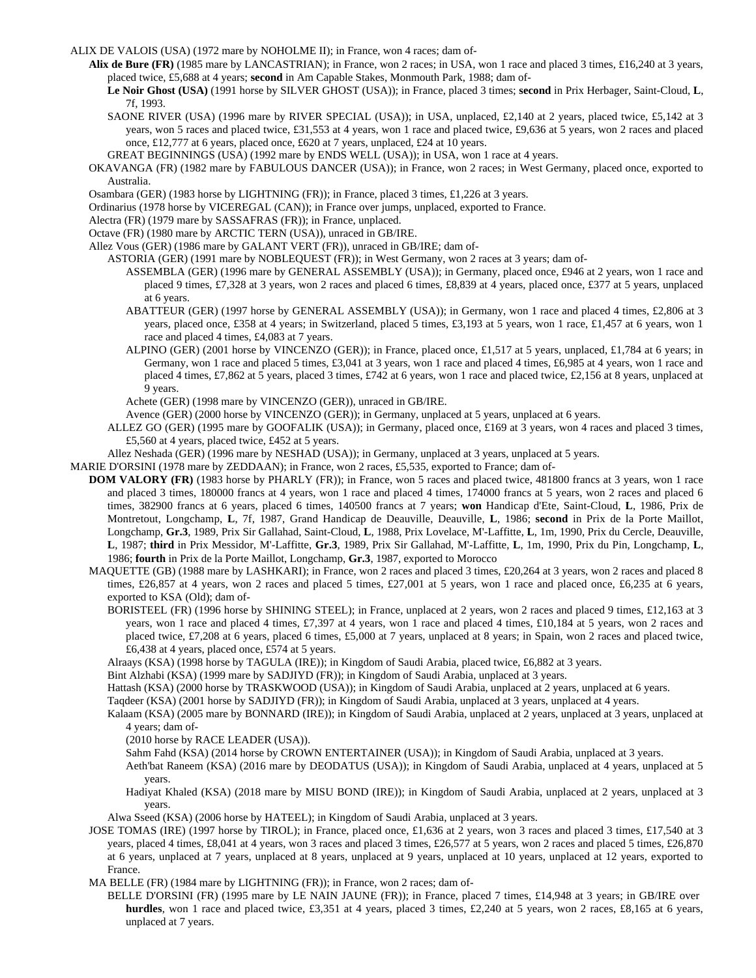ALIX DE VALOIS (USA) (1972 mare by NOHOLME II); in France, won 4 races; dam of-

- **Alix de Bure (FR)** (1985 mare by LANCASTRIAN); in France, won 2 races; in USA, won 1 race and placed 3 times, £16,240 at 3 years, placed twice, £5,688 at 4 years; **second** in Am Capable Stakes, Monmouth Park, 1988; dam of-
	- **Le Noir Ghost (USA)** (1991 horse by SILVER GHOST (USA)); in France, placed 3 times; **second** in Prix Herbager, Saint-Cloud, **L**, 7f, 1993.
	- SAONE RIVER (USA) (1996 mare by RIVER SPECIAL (USA)); in USA, unplaced, £2,140 at 2 years, placed twice, £5,142 at 3 years, won 5 races and placed twice, £31,553 at 4 years, won 1 race and placed twice, £9,636 at 5 years, won 2 races and placed once, £12,777 at 6 years, placed once, £620 at 7 years, unplaced, £24 at 10 years.
	- GREAT BEGINNINGS (USA) (1992 mare by ENDS WELL (USA)); in USA, won 1 race at 4 years.
- OKAVANGA (FR) (1982 mare by FABULOUS DANCER (USA)); in France, won 2 races; in West Germany, placed once, exported to Australia.
- Osambara (GER) (1983 horse by LIGHTNING (FR)); in France, placed 3 times, £1,226 at 3 years.
- Ordinarius (1978 horse by VICEREGAL (CAN)); in France over jumps, unplaced, exported to France.
- Alectra (FR) (1979 mare by SASSAFRAS (FR)); in France, unplaced.
- Octave (FR) (1980 mare by ARCTIC TERN (USA)), unraced in GB/IRE.
- Allez Vous (GER) (1986 mare by GALANT VERT (FR)), unraced in GB/IRE; dam of-

ASTORIA (GER) (1991 mare by NOBLEQUEST (FR)); in West Germany, won 2 races at 3 years; dam of-

- ASSEMBLA (GER) (1996 mare by GENERAL ASSEMBLY (USA)); in Germany, placed once, £946 at 2 years, won 1 race and placed 9 times, £7,328 at 3 years, won 2 races and placed 6 times, £8,839 at 4 years, placed once, £377 at 5 years, unplaced at 6 years.
- ABATTEUR (GER) (1997 horse by GENERAL ASSEMBLY (USA)); in Germany, won 1 race and placed 4 times, £2,806 at 3 years, placed once, £358 at 4 years; in Switzerland, placed 5 times, £3,193 at 5 years, won 1 race, £1,457 at 6 years, won 1 race and placed 4 times, £4,083 at 7 years.
- ALPINO (GER) (2001 horse by VINCENZO (GER)); in France, placed once, £1,517 at 5 years, unplaced, £1,784 at 6 years; in Germany, won 1 race and placed 5 times, £3,041 at 3 years, won 1 race and placed 4 times, £6,985 at 4 years, won 1 race and placed 4 times, £7,862 at 5 years, placed 3 times, £742 at 6 years, won 1 race and placed twice, £2,156 at 8 years, unplaced at 9 years.

Achete (GER) (1998 mare by VINCENZO (GER)), unraced in GB/IRE.

Avence (GER) (2000 horse by VINCENZO (GER)); in Germany, unplaced at 5 years, unplaced at 6 years.

- ALLEZ GO (GER) (1995 mare by GOOFALIK (USA)); in Germany, placed once, £169 at 3 years, won 4 races and placed 3 times, £5,560 at 4 years, placed twice, £452 at 5 years.
- Allez Neshada (GER) (1996 mare by NESHAD (USA)); in Germany, unplaced at 3 years, unplaced at 5 years.
- MARIE D'ORSINI (1978 mare by ZEDDAAN); in France, won 2 races, £5,535, exported to France; dam of-
- **DOM VALORY (FR)** (1983 horse by PHARLY (FR)); in France, won 5 races and placed twice, 481800 francs at 3 years, won 1 race and placed 3 times, 180000 francs at 4 years, won 1 race and placed 4 times, 174000 francs at 5 years, won 2 races and placed 6 times, 382900 francs at 6 years, placed 6 times, 140500 francs at 7 years; **won** Handicap d'Ete, Saint-Cloud, **L**, 1986, Prix de Montretout, Longchamp, **L**, 7f, 1987, Grand Handicap de Deauville, Deauville, **L**, 1986; **second** in Prix de la Porte Maillot, Longchamp, **Gr.3**, 1989, Prix Sir Gallahad, Saint-Cloud, **L**, 1988, Prix Lovelace, M'-Laffitte, **L**, 1m, 1990, Prix du Cercle, Deauville, **L**, 1987; **third** in Prix Messidor, M'-Laffitte, **Gr.3**, 1989, Prix Sir Gallahad, M'-Laffitte, **L**, 1m, 1990, Prix du Pin, Longchamp, **L**, 1986; **fourth** in Prix de la Porte Maillot, Longchamp, **Gr.3**, 1987, exported to Morocco
	- MAQUETTE (GB) (1988 mare by LASHKARI); in France, won 2 races and placed 3 times, £20,264 at 3 years, won 2 races and placed 8 times, £26,857 at 4 years, won 2 races and placed 5 times, £27,001 at 5 years, won 1 race and placed once, £6,235 at 6 years, exported to KSA (Old); dam of-
		- BORISTEEL (FR) (1996 horse by SHINING STEEL); in France, unplaced at 2 years, won 2 races and placed 9 times, £12,163 at 3 years, won 1 race and placed 4 times, £7,397 at 4 years, won 1 race and placed 4 times, £10,184 at 5 years, won 2 races and placed twice, £7,208 at 6 years, placed 6 times, £5,000 at 7 years, unplaced at 8 years; in Spain, won 2 races and placed twice, £6,438 at 4 years, placed once, £574 at 5 years.
		- Alraays (KSA) (1998 horse by TAGULA (IRE)); in Kingdom of Saudi Arabia, placed twice, £6,882 at 3 years.
		- Bint Alzhabi (KSA) (1999 mare by SADJIYD (FR)); in Kingdom of Saudi Arabia, unplaced at 3 years.
		- Hattash (KSA) (2000 horse by TRASKWOOD (USA)); in Kingdom of Saudi Arabia, unplaced at 2 years, unplaced at 6 years.

Taqdeer (KSA) (2001 horse by SADJIYD (FR)); in Kingdom of Saudi Arabia, unplaced at 3 years, unplaced at 4 years.

Kalaam (KSA) (2005 mare by BONNARD (IRE)); in Kingdom of Saudi Arabia, unplaced at 2 years, unplaced at 3 years, unplaced at 4 years; dam of-

(2010 horse by RACE LEADER (USA)).

Sahm Fahd (KSA) (2014 horse by CROWN ENTERTAINER (USA)); in Kingdom of Saudi Arabia, unplaced at 3 years.

Aeth'bat Raneem (KSA) (2016 mare by DEODATUS (USA)); in Kingdom of Saudi Arabia, unplaced at 4 years, unplaced at 5 years.

Hadiyat Khaled (KSA) (2018 mare by MISU BOND (IRE)); in Kingdom of Saudi Arabia, unplaced at 2 years, unplaced at 3 years.

Alwa Sseed (KSA) (2006 horse by HATEEL); in Kingdom of Saudi Arabia, unplaced at 3 years.

- JOSE TOMAS (IRE) (1997 horse by TIROL); in France, placed once, £1,636 at 2 years, won 3 races and placed 3 times, £17,540 at 3 years, placed 4 times, £8,041 at 4 years, won 3 races and placed 3 times, £26,577 at 5 years, won 2 races and placed 5 times, £26,870 at 6 years, unplaced at 7 years, unplaced at 8 years, unplaced at 9 years, unplaced at 10 years, unplaced at 12 years, exported to France.
- MA BELLE (FR) (1984 mare by LIGHTNING (FR)); in France, won 2 races; dam of-
	- BELLE D'ORSINI (FR) (1995 mare by LE NAIN JAUNE (FR)); in France, placed 7 times, £14,948 at 3 years; in GB/IRE over **hurdles**, won 1 race and placed twice, £3,351 at 4 years, placed 3 times, £2,240 at 5 years, won 2 races, £8,165 at 6 years, unplaced at 7 years.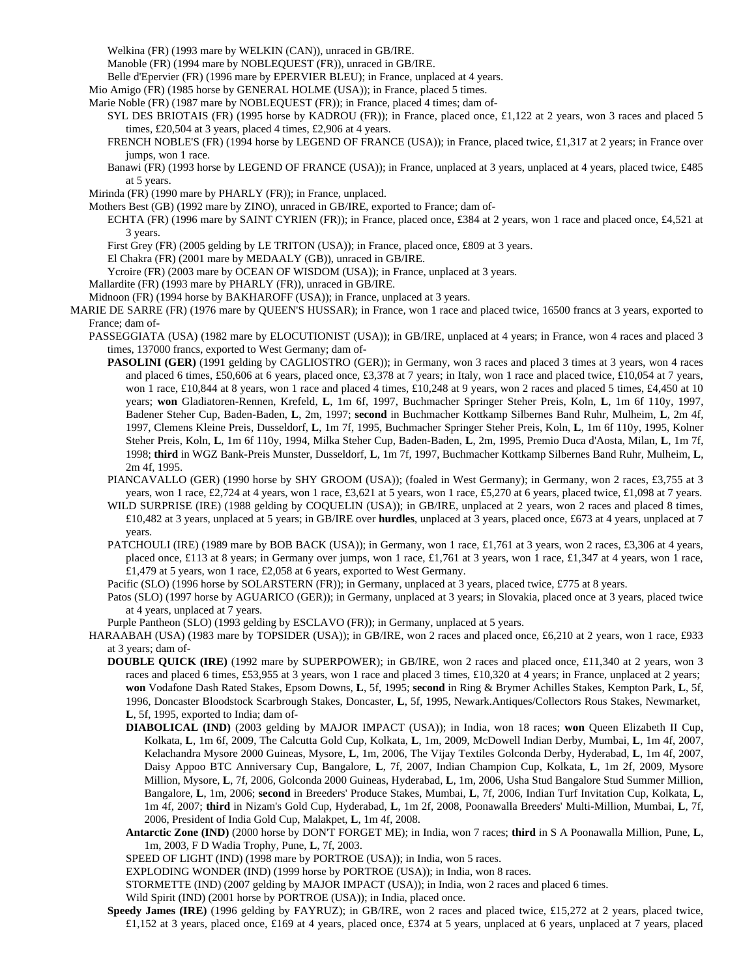Welkina (FR) (1993 mare by WELKIN (CAN)), unraced in GB/IRE.

Manoble (FR) (1994 mare by NOBLEQUEST (FR)), unraced in GB/IRE.

Belle d'Epervier (FR) (1996 mare by EPERVIER BLEU); in France, unplaced at 4 years.

Mio Amigo (FR) (1985 horse by GENERAL HOLME (USA)); in France, placed 5 times.

Marie Noble (FR) (1987 mare by NOBLEQUEST (FR)); in France, placed 4 times; dam of-

- SYL DES BRIOTAIS (FR) (1995 horse by KADROU (FR)); in France, placed once, £1,122 at 2 years, won 3 races and placed 5 times, £20,504 at 3 years, placed 4 times, £2,906 at 4 years.
- FRENCH NOBLE'S (FR) (1994 horse by LEGEND OF FRANCE (USA)); in France, placed twice, £1,317 at 2 years; in France over jumps, won 1 race.
- Banawi (FR) (1993 horse by LEGEND OF FRANCE (USA)); in France, unplaced at 3 years, unplaced at 4 years, placed twice, £485 at 5 years.

Mirinda (FR) (1990 mare by PHARLY (FR)); in France, unplaced.

Mothers Best (GB) (1992 mare by ZINO), unraced in GB/IRE, exported to France; dam of-

ECHTA (FR) (1996 mare by SAINT CYRIEN (FR)); in France, placed once, £384 at 2 years, won 1 race and placed once, £4,521 at 3 years.

- First Grey (FR) (2005 gelding by LE TRITON (USA)); in France, placed once, £809 at 3 years.
- El Chakra (FR) (2001 mare by MEDAALY (GB)), unraced in GB/IRE.
- Ycroire (FR) (2003 mare by OCEAN OF WISDOM (USA)); in France, unplaced at 3 years.
- Mallardite (FR) (1993 mare by PHARLY (FR)), unraced in GB/IRE.

Midnoon (FR) (1994 horse by BAKHAROFF (USA)); in France, unplaced at 3 years.

- MARIE DE SARRE (FR) (1976 mare by QUEEN'S HUSSAR); in France, won 1 race and placed twice, 16500 francs at 3 years, exported to France; dam of-
	- PASSEGGIATA (USA) (1982 mare by ELOCUTIONIST (USA)); in GB/IRE, unplaced at 4 years; in France, won 4 races and placed 3 times, 137000 francs, exported to West Germany; dam of-
		- **PASOLINI (GER)** (1991 gelding by CAGLIOSTRO (GER)); in Germany, won 3 races and placed 3 times at 3 years, won 4 races and placed 6 times, £50,606 at 6 years, placed once, £3,378 at 7 years; in Italy, won 1 race and placed twice, £10,054 at 7 years, won 1 race, £10,844 at 8 years, won 1 race and placed 4 times, £10,248 at 9 years, won 2 races and placed 5 times, £4,450 at 10 years; **won** Gladiatoren-Rennen, Krefeld, **L**, 1m 6f, 1997, Buchmacher Springer Steher Preis, Koln, **L**, 1m 6f 110y, 1997, Badener Steher Cup, Baden-Baden, **L**, 2m, 1997; **second** in Buchmacher Kottkamp Silbernes Band Ruhr, Mulheim, **L**, 2m 4f, 1997, Clemens Kleine Preis, Dusseldorf, **L**, 1m 7f, 1995, Buchmacher Springer Steher Preis, Koln, **L**, 1m 6f 110y, 1995, Kolner Steher Preis, Koln, **L**, 1m 6f 110y, 1994, Milka Steher Cup, Baden-Baden, **L**, 2m, 1995, Premio Duca d'Aosta, Milan, **L**, 1m 7f, 1998; **third** in WGZ Bank-Preis Munster, Dusseldorf, **L**, 1m 7f, 1997, Buchmacher Kottkamp Silbernes Band Ruhr, Mulheim, **L**, 2m 4f, 1995.
		- PIANCAVALLO (GER) (1990 horse by SHY GROOM (USA)); (foaled in West Germany); in Germany, won 2 races, £3,755 at 3 years, won 1 race, £2,724 at 4 years, won 1 race, £3,621 at 5 years, won 1 race, £5,270 at 6 years, placed twice, £1,098 at 7 years.
		- WILD SURPRISE (IRE) (1988 gelding by COQUELIN (USA)); in GB/IRE, unplaced at 2 years, won 2 races and placed 8 times, £10,482 at 3 years, unplaced at 5 years; in GB/IRE over **hurdles**, unplaced at 3 years, placed once, £673 at 4 years, unplaced at 7 years.
		- PATCHOULI (IRE) (1989 mare by BOB BACK (USA)); in Germany, won 1 race, £1,761 at 3 years, won 2 races, £3,306 at 4 years, placed once, £113 at 8 years; in Germany over jumps, won 1 race, £1,761 at 3 years, won 1 race, £1,347 at 4 years, won 1 race, £1,479 at 5 years, won 1 race, £2,058 at 6 years, exported to West Germany.
		- Pacific (SLO) (1996 horse by SOLARSTERN (FR)); in Germany, unplaced at 3 years, placed twice, £775 at 8 years.
		- Patos (SLO) (1997 horse by AGUARICO (GER)); in Germany, unplaced at 3 years; in Slovakia, placed once at 3 years, placed twice at 4 years, unplaced at 7 years.

Purple Pantheon (SLO) (1993 gelding by ESCLAVO (FR)); in Germany, unplaced at 5 years.

- HARAABAH (USA) (1983 mare by TOPSIDER (USA)); in GB/IRE, won 2 races and placed once, £6,210 at 2 years, won 1 race, £933 at 3 years; dam of-
	- **DOUBLE QUICK (IRE)** (1992 mare by SUPERPOWER); in GB/IRE, won 2 races and placed once, £11,340 at 2 years, won 3 races and placed 6 times, £53,955 at 3 years, won 1 race and placed 3 times, £10,320 at 4 years; in France, unplaced at 2 years; **won** Vodafone Dash Rated Stakes, Epsom Downs, **L**, 5f, 1995; **second** in Ring & Brymer Achilles Stakes, Kempton Park, **L**, 5f, 1996, Doncaster Bloodstock Scarbrough Stakes, Doncaster, **L**, 5f, 1995, Newark.Antiques/Collectors Rous Stakes, Newmarket, **L**, 5f, 1995, exported to India; dam of-
		- **DIABOLICAL (IND)** (2003 gelding by MAJOR IMPACT (USA)); in India, won 18 races; **won** Queen Elizabeth II Cup, Kolkata, **L**, 1m 6f, 2009, The Calcutta Gold Cup, Kolkata, **L**, 1m, 2009, McDowell Indian Derby, Mumbai, **L**, 1m 4f, 2007, Kelachandra Mysore 2000 Guineas, Mysore, **L**, 1m, 2006, The Vijay Textiles Golconda Derby, Hyderabad, **L**, 1m 4f, 2007, Daisy Appoo BTC Anniversary Cup, Bangalore, **L**, 7f, 2007, Indian Champion Cup, Kolkata, **L**, 1m 2f, 2009, Mysore Million, Mysore, **L**, 7f, 2006, Golconda 2000 Guineas, Hyderabad, **L**, 1m, 2006, Usha Stud Bangalore Stud Summer Million, Bangalore, **L**, 1m, 2006; **second** in Breeders' Produce Stakes, Mumbai, **L**, 7f, 2006, Indian Turf Invitation Cup, Kolkata, **L**, 1m 4f, 2007; **third** in Nizam's Gold Cup, Hyderabad, **L**, 1m 2f, 2008, Poonawalla Breeders' Multi-Million, Mumbai, **L**, 7f, 2006, President of India Gold Cup, Malakpet, **L**, 1m 4f, 2008.
		- **Antarctic Zone (IND)** (2000 horse by DON'T FORGET ME); in India, won 7 races; **third** in S A Poonawalla Million, Pune, **L**, 1m, 2003, F D Wadia Trophy, Pune, **L**, 7f, 2003.
		- SPEED OF LIGHT (IND) (1998 mare by PORTROE (USA)); in India, won 5 races.

EXPLODING WONDER (IND) (1999 horse by PORTROE (USA)); in India, won 8 races.

STORMETTE (IND) (2007 gelding by MAJOR IMPACT (USA)); in India, won 2 races and placed 6 times.

Wild Spirit (IND) (2001 horse by PORTROE (USA)); in India, placed once.

**Speedy James (IRE)** (1996 gelding by FAYRUZ); in GB/IRE, won 2 races and placed twice, £15,272 at 2 years, placed twice, £1,152 at 3 years, placed once, £169 at 4 years, placed once, £374 at 5 years, unplaced at 6 years, unplaced at 7 years, placed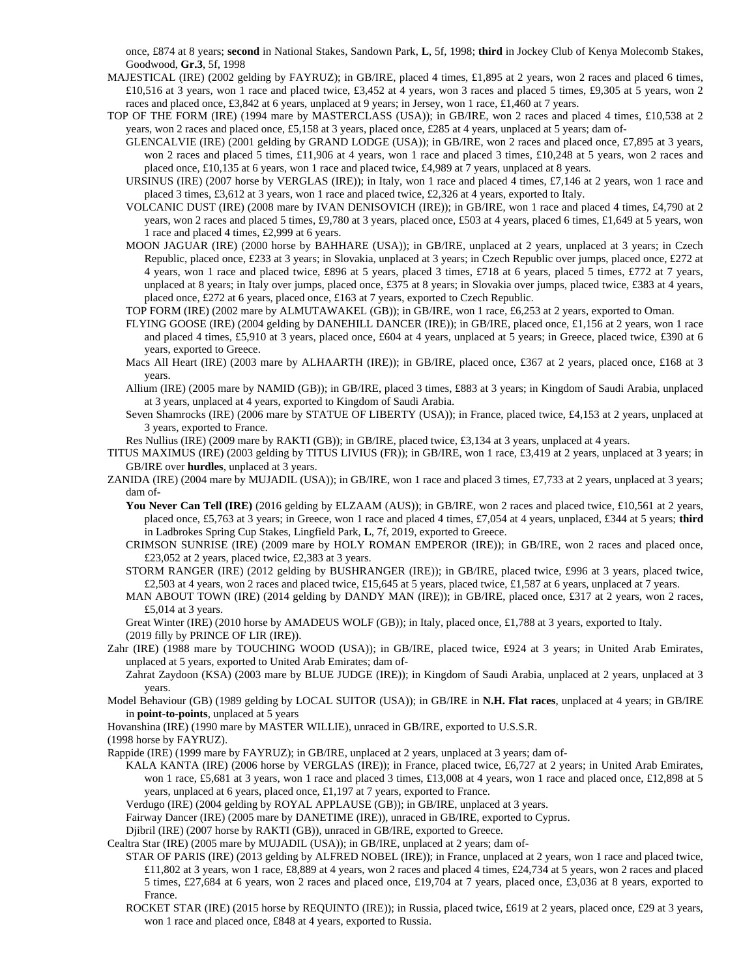once, £874 at 8 years; **second** in National Stakes, Sandown Park, **L**, 5f, 1998; **third** in Jockey Club of Kenya Molecomb Stakes, Goodwood, **Gr.3**, 5f, 1998

- MAJESTICAL (IRE) (2002 gelding by FAYRUZ); in GB/IRE, placed 4 times, £1,895 at 2 years, won 2 races and placed 6 times, £10,516 at 3 years, won 1 race and placed twice, £3,452 at 4 years, won 3 races and placed 5 times, £9,305 at 5 years, won 2 races and placed once, £3,842 at 6 years, unplaced at 9 years; in Jersey, won 1 race, £1,460 at 7 years.
- TOP OF THE FORM (IRE) (1994 mare by MASTERCLASS (USA)); in GB/IRE, won 2 races and placed 4 times, £10,538 at 2 years, won 2 races and placed once, £5,158 at 3 years, placed once, £285 at 4 years, unplaced at 5 years; dam of-
	- GLENCALVIE (IRE) (2001 gelding by GRAND LODGE (USA)); in GB/IRE, won 2 races and placed once, £7,895 at 3 years, won 2 races and placed 5 times, £11,906 at 4 years, won 1 race and placed 3 times, £10,248 at 5 years, won 2 races and placed once, £10,135 at 6 years, won 1 race and placed twice, £4,989 at 7 years, unplaced at 8 years.
	- URSINUS (IRE) (2007 horse by VERGLAS (IRE)); in Italy, won 1 race and placed 4 times, £7,146 at 2 years, won 1 race and placed 3 times, £3,612 at 3 years, won 1 race and placed twice, £2,326 at 4 years, exported to Italy.
	- VOLCANIC DUST (IRE) (2008 mare by IVAN DENISOVICH (IRE)); in GB/IRE, won 1 race and placed 4 times, £4,790 at 2 years, won 2 races and placed 5 times, £9,780 at 3 years, placed once, £503 at 4 years, placed 6 times, £1,649 at 5 years, won 1 race and placed 4 times, £2,999 at 6 years.
	- MOON JAGUAR (IRE) (2000 horse by BAHHARE (USA)); in GB/IRE, unplaced at 2 years, unplaced at 3 years; in Czech Republic, placed once, £233 at 3 years; in Slovakia, unplaced at 3 years; in Czech Republic over jumps, placed once, £272 at 4 years, won 1 race and placed twice, £896 at 5 years, placed 3 times, £718 at 6 years, placed 5 times, £772 at 7 years, unplaced at 8 years; in Italy over jumps, placed once, £375 at 8 years; in Slovakia over jumps, placed twice, £383 at 4 years, placed once, £272 at 6 years, placed once, £163 at 7 years, exported to Czech Republic.
	- TOP FORM (IRE) (2002 mare by ALMUTAWAKEL (GB)); in GB/IRE, won 1 race, £6,253 at 2 years, exported to Oman.
	- FLYING GOOSE (IRE) (2004 gelding by DANEHILL DANCER (IRE)); in GB/IRE, placed once, £1,156 at 2 years, won 1 race and placed 4 times, £5,910 at 3 years, placed once, £604 at 4 years, unplaced at 5 years; in Greece, placed twice, £390 at 6 years, exported to Greece.
	- Macs All Heart (IRE) (2003 mare by ALHAARTH (IRE)); in GB/IRE, placed once, £367 at 2 years, placed once, £168 at 3 years.
	- Allium (IRE) (2005 mare by NAMID (GB)); in GB/IRE, placed 3 times, £883 at 3 years; in Kingdom of Saudi Arabia, unplaced at 3 years, unplaced at 4 years, exported to Kingdom of Saudi Arabia.
	- Seven Shamrocks (IRE) (2006 mare by STATUE OF LIBERTY (USA)); in France, placed twice, £4,153 at 2 years, unplaced at 3 years, exported to France.
	- Res Nullius (IRE) (2009 mare by RAKTI (GB)); in GB/IRE, placed twice, £3,134 at 3 years, unplaced at 4 years.
- TITUS MAXIMUS (IRE) (2003 gelding by TITUS LIVIUS (FR)); in GB/IRE, won 1 race, £3,419 at 2 years, unplaced at 3 years; in GB/IRE over **hurdles**, unplaced at 3 years.
- ZANIDA (IRE) (2004 mare by MUJADIL (USA)); in GB/IRE, won 1 race and placed 3 times, £7,733 at 2 years, unplaced at 3 years; dam of-
	- You Never Can Tell (IRE) (2016 gelding by ELZAAM (AUS)); in GB/IRE, won 2 races and placed twice, £10,561 at 2 years, placed once, £5,763 at 3 years; in Greece, won 1 race and placed 4 times, £7,054 at 4 years, unplaced, £344 at 5 years; **third** in Ladbrokes Spring Cup Stakes, Lingfield Park, **L**, 7f, 2019, exported to Greece.
	- CRIMSON SUNRISE (IRE) (2009 mare by HOLY ROMAN EMPEROR (IRE)); in GB/IRE, won 2 races and placed once, £23,052 at 2 years, placed twice, £2,383 at 3 years.
	- STORM RANGER (IRE) (2012 gelding by BUSHRANGER (IRE)); in GB/IRE, placed twice, £996 at 3 years, placed twice, £2,503 at 4 years, won 2 races and placed twice, £15,645 at 5 years, placed twice, £1,587 at 6 years, unplaced at 7 years.
	- MAN ABOUT TOWN (IRE) (2014 gelding by DANDY MAN (IRE)); in GB/IRE, placed once, £317 at 2 years, won 2 races, £5,014 at 3 years.

Great Winter (IRE) (2010 horse by AMADEUS WOLF (GB)); in Italy, placed once, £1,788 at 3 years, exported to Italy. (2019 filly by PRINCE OF LIR (IRE)).

- Zahr (IRE) (1988 mare by TOUCHING WOOD (USA)); in GB/IRE, placed twice, £924 at 3 years; in United Arab Emirates, unplaced at 5 years, exported to United Arab Emirates; dam of-
	- Zahrat Zaydoon (KSA) (2003 mare by BLUE JUDGE (IRE)); in Kingdom of Saudi Arabia, unplaced at 2 years, unplaced at 3 years.
- Model Behaviour (GB) (1989 gelding by LOCAL SUITOR (USA)); in GB/IRE in **N.H. Flat races**, unplaced at 4 years; in GB/IRE in **point-to-points**, unplaced at 5 years
- Hovanshina (IRE) (1990 mare by MASTER WILLIE), unraced in GB/IRE, exported to U.S.S.R.
- (1998 horse by FAYRUZ).

Rappide (IRE) (1999 mare by FAYRUZ); in GB/IRE, unplaced at 2 years, unplaced at 3 years; dam of-

KALA KANTA (IRE) (2006 horse by VERGLAS (IRE)); in France, placed twice, £6,727 at 2 years; in United Arab Emirates, won 1 race, £5,681 at 3 years, won 1 race and placed 3 times, £13,008 at 4 years, won 1 race and placed once, £12,898 at 5 years, unplaced at 6 years, placed once, £1,197 at 7 years, exported to France.

Verdugo (IRE) (2004 gelding by ROYAL APPLAUSE (GB)); in GB/IRE, unplaced at 3 years.

Fairway Dancer (IRE) (2005 mare by DANETIME (IRE)), unraced in GB/IRE, exported to Cyprus.

Djibril (IRE) (2007 horse by RAKTI (GB)), unraced in GB/IRE, exported to Greece.

Cealtra Star (IRE) (2005 mare by MUJADIL (USA)); in GB/IRE, unplaced at 2 years; dam of-

- STAR OF PARIS (IRE) (2013 gelding by ALFRED NOBEL (IRE)); in France, unplaced at 2 years, won 1 race and placed twice, £11,802 at 3 years, won 1 race, £8,889 at 4 years, won 2 races and placed 4 times, £24,734 at 5 years, won 2 races and placed 5 times, £27,684 at 6 years, won 2 races and placed once, £19,704 at 7 years, placed once, £3,036 at 8 years, exported to France.
- ROCKET STAR (IRE) (2015 horse by REQUINTO (IRE)); in Russia, placed twice, £619 at 2 years, placed once, £29 at 3 years, won 1 race and placed once, £848 at 4 years, exported to Russia.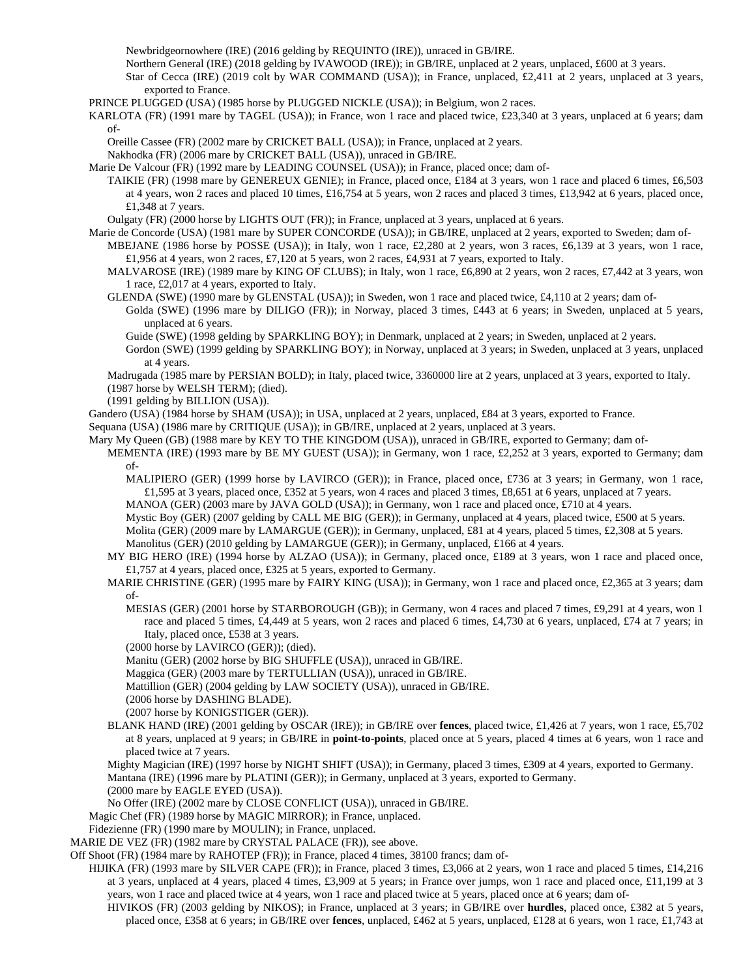Newbridgeornowhere (IRE) (2016 gelding by REQUINTO (IRE)), unraced in GB/IRE.

Northern General (IRE) (2018 gelding by IVAWOOD (IRE)); in GB/IRE, unplaced at 2 years, unplaced, £600 at 3 years.

Star of Cecca (IRE) (2019 colt by WAR COMMAND (USA)); in France, unplaced, £2,411 at 2 years, unplaced at 3 years, exported to France.

PRINCE PLUGGED (USA) (1985 horse by PLUGGED NICKLE (USA)); in Belgium, won 2 races.

KARLOTA (FR) (1991 mare by TAGEL (USA)); in France, won 1 race and placed twice, £23,340 at 3 years, unplaced at 6 years; dam of-

Oreille Cassee (FR) (2002 mare by CRICKET BALL (USA)); in France, unplaced at 2 years.

Nakhodka (FR) (2006 mare by CRICKET BALL (USA)), unraced in GB/IRE.

Marie De Valcour (FR) (1992 mare by LEADING COUNSEL (USA)); in France, placed once; dam of-

TAIKIE (FR) (1998 mare by GENEREUX GENIE); in France, placed once, £184 at 3 years, won 1 race and placed 6 times, £6,503 at 4 years, won 2 races and placed 10 times, £16,754 at 5 years, won 2 races and placed 3 times, £13,942 at 6 years, placed once, £1,348 at 7 years.

Oulgaty (FR) (2000 horse by LIGHTS OUT (FR)); in France, unplaced at 3 years, unplaced at 6 years.

Marie de Concorde (USA) (1981 mare by SUPER CONCORDE (USA)); in GB/IRE, unplaced at 2 years, exported to Sweden; dam of-

MBEJANE (1986 horse by POSSE (USA)); in Italy, won 1 race, £2,280 at 2 years, won 3 races, £6,139 at 3 years, won 1 race, £1,956 at 4 years, won 2 races, £7,120 at 5 years, won 2 races, £4,931 at 7 years, exported to Italy.

MALVAROSE (IRE) (1989 mare by KING OF CLUBS); in Italy, won 1 race, £6,890 at 2 years, won 2 races, £7,442 at 3 years, won 1 race, £2,017 at 4 years, exported to Italy.

GLENDA (SWE) (1990 mare by GLENSTAL (USA)); in Sweden, won 1 race and placed twice, £4,110 at 2 years; dam of-

Golda (SWE) (1996 mare by DILIGO (FR)); in Norway, placed 3 times, £443 at 6 years; in Sweden, unplaced at 5 years, unplaced at 6 years.

Guide (SWE) (1998 gelding by SPARKLING BOY); in Denmark, unplaced at 2 years; in Sweden, unplaced at 2 years.

Gordon (SWE) (1999 gelding by SPARKLING BOY); in Norway, unplaced at 3 years; in Sweden, unplaced at 3 years, unplaced at 4 years.

Madrugada (1985 mare by PERSIAN BOLD); in Italy, placed twice, 3360000 lire at 2 years, unplaced at 3 years, exported to Italy. (1987 horse by WELSH TERM); (died).

(1991 gelding by BILLION (USA)).

Gandero (USA) (1984 horse by SHAM (USA)); in USA, unplaced at 2 years, unplaced, £84 at 3 years, exported to France.

Sequana (USA) (1986 mare by CRITIQUE (USA)); in GB/IRE, unplaced at 2 years, unplaced at 3 years.

Mary My Queen (GB) (1988 mare by KEY TO THE KINGDOM (USA)), unraced in GB/IRE, exported to Germany; dam of-

MEMENTA (IRE) (1993 mare by BE MY GUEST (USA)); in Germany, won 1 race, £2,252 at 3 years, exported to Germany; dam of-

MALIPIERO (GER) (1999 horse by LAVIRCO (GER)); in France, placed once, £736 at 3 years; in Germany, won 1 race, £1,595 at 3 years, placed once, £352 at 5 years, won 4 races and placed 3 times, £8,651 at 6 years, unplaced at 7 years.

MANOA (GER) (2003 mare by JAVA GOLD (USA)); in Germany, won 1 race and placed once, £710 at 4 years.

Mystic Boy (GER) (2007 gelding by CALL ME BIG (GER)); in Germany, unplaced at 4 years, placed twice, £500 at 5 years. Molita (GER) (2009 mare by LAMARGUE (GER)); in Germany, unplaced, £81 at 4 years, placed 5 times, £2,308 at 5 years.

Manolitus (GER) (2010 gelding by LAMARGUE (GER)); in Germany, unplaced, £166 at 4 years.

- MY BIG HERO (IRE) (1994 horse by ALZAO (USA)); in Germany, placed once, £189 at 3 years, won 1 race and placed once, £1,757 at 4 years, placed once, £325 at 5 years, exported to Germany.
- MARIE CHRISTINE (GER) (1995 mare by FAIRY KING (USA)); in Germany, won 1 race and placed once, £2,365 at 3 years; dam of-
	- MESIAS (GER) (2001 horse by STARBOROUGH (GB)); in Germany, won 4 races and placed 7 times, £9,291 at 4 years, won 1 race and placed 5 times, £4,449 at 5 years, won 2 races and placed 6 times, £4,730 at 6 years, unplaced, £74 at 7 years; in Italy, placed once, £538 at 3 years.

(2000 horse by LAVIRCO (GER)); (died).

Manitu (GER) (2002 horse by BIG SHUFFLE (USA)), unraced in GB/IRE.

Maggica (GER) (2003 mare by TERTULLIAN (USA)), unraced in GB/IRE.

Mattillion (GER) (2004 gelding by LAW SOCIETY (USA)), unraced in GB/IRE.

(2006 horse by DASHING BLADE).

(2007 horse by KONIGSTIGER (GER)).

- BLANK HAND (IRE) (2001 gelding by OSCAR (IRE)); in GB/IRE over **fences**, placed twice, £1,426 at 7 years, won 1 race, £5,702 at 8 years, unplaced at 9 years; in GB/IRE in **point-to-points**, placed once at 5 years, placed 4 times at 6 years, won 1 race and placed twice at 7 years.
- Mighty Magician (IRE) (1997 horse by NIGHT SHIFT (USA)); in Germany, placed 3 times, £309 at 4 years, exported to Germany. Mantana (IRE) (1996 mare by PLATINI (GER)); in Germany, unplaced at 3 years, exported to Germany.

(2000 mare by EAGLE EYED (USA)).

No Offer (IRE) (2002 mare by CLOSE CONFLICT (USA)), unraced in GB/IRE.

Magic Chef (FR) (1989 horse by MAGIC MIRROR); in France, unplaced.

Fidezienne (FR) (1990 mare by MOULIN); in France, unplaced.

MARIE DE VEZ (FR) (1982 mare by CRYSTAL PALACE (FR)), see above.

Off Shoot (FR) (1984 mare by RAHOTEP (FR)); in France, placed 4 times, 38100 francs; dam of-

- HIJIKA (FR) (1993 mare by SILVER CAPE (FR)); in France, placed 3 times, £3,066 at 2 years, won 1 race and placed 5 times, £14,216 at 3 years, unplaced at 4 years, placed 4 times, £3,909 at 5 years; in France over jumps, won 1 race and placed once, £11,199 at 3 years, won 1 race and placed twice at 4 years, won 1 race and placed twice at 5 years, placed once at 6 years; dam of-
	- HIVIKOS (FR) (2003 gelding by NIKOS); in France, unplaced at 3 years; in GB/IRE over **hurdles**, placed once, £382 at 5 years, placed once, £358 at 6 years; in GB/IRE over **fences**, unplaced, £462 at 5 years, unplaced, £128 at 6 years, won 1 race, £1,743 at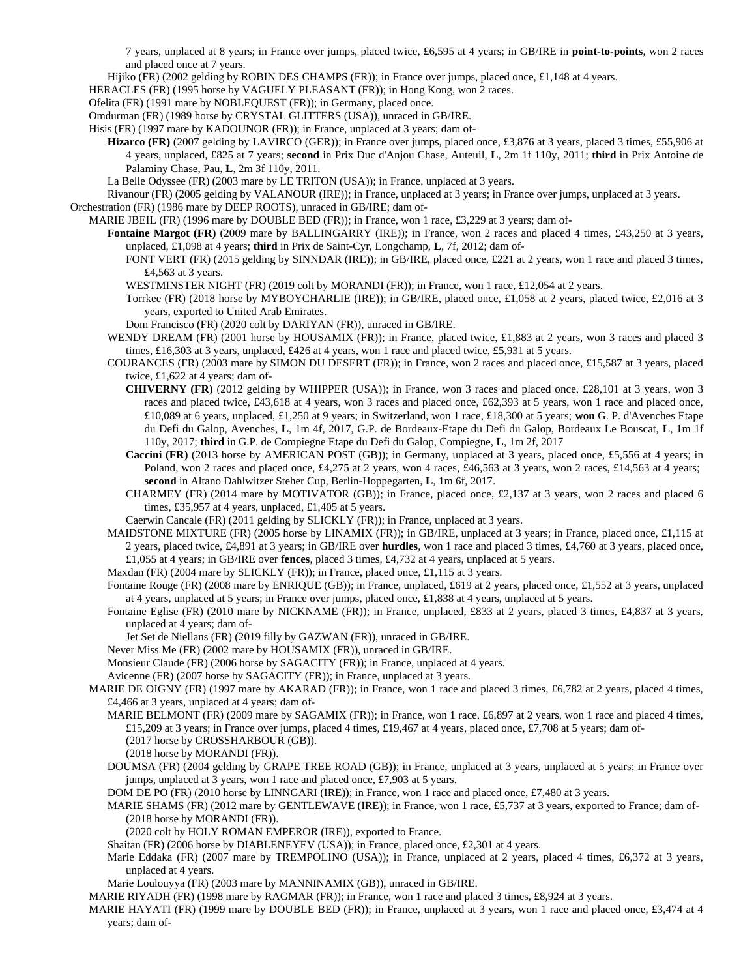7 years, unplaced at 8 years; in France over jumps, placed twice, £6,595 at 4 years; in GB/IRE in **point-to-points**, won 2 races and placed once at 7 years.

Hijiko (FR) (2002 gelding by ROBIN DES CHAMPS (FR)); in France over jumps, placed once, £1,148 at 4 years.

HERACLES (FR) (1995 horse by VAGUELY PLEASANT (FR)); in Hong Kong, won 2 races.

Ofelita (FR) (1991 mare by NOBLEQUEST (FR)); in Germany, placed once.

- Omdurman (FR) (1989 horse by CRYSTAL GLITTERS (USA)), unraced in GB/IRE.
- Hisis (FR) (1997 mare by KADOUNOR (FR)); in France, unplaced at 3 years; dam of-
	- **Hizarco (FR)** (2007 gelding by LAVIRCO (GER)); in France over jumps, placed once, £3,876 at 3 years, placed 3 times, £55,906 at 4 years, unplaced, £825 at 7 years; **second** in Prix Duc d'Anjou Chase, Auteuil, **L**, 2m 1f 110y, 2011; **third** in Prix Antoine de Palaminy Chase, Pau, **L**, 2m 3f 110y, 2011.
	- La Belle Odyssee (FR) (2003 mare by LE TRITON (USA)); in France, unplaced at 3 years.

Rivanour (FR) (2005 gelding by VALANOUR (IRE)); in France, unplaced at 3 years; in France over jumps, unplaced at 3 years. Orchestration (FR) (1986 mare by DEEP ROOTS), unraced in GB/IRE; dam of-

MARIE JBEIL (FR) (1996 mare by DOUBLE BED (FR)); in France, won 1 race, £3,229 at 3 years; dam of-

**Fontaine Margot (FR)** (2009 mare by BALLINGARRY (IRE)); in France, won 2 races and placed 4 times, £43,250 at 3 years, unplaced, £1,098 at 4 years; **third** in Prix de Saint-Cyr, Longchamp, **L**, 7f, 2012; dam of-

FONT VERT (FR) (2015 gelding by SINNDAR (IRE)); in GB/IRE, placed once, £221 at 2 years, won 1 race and placed 3 times, £4,563 at 3 years.

WESTMINSTER NIGHT (FR) (2019 colt by MORANDI (FR)); in France, won 1 race, £12,054 at 2 years.

Torrkee (FR) (2018 horse by MYBOYCHARLIE (IRE)); in GB/IRE, placed once, £1,058 at 2 years, placed twice, £2,016 at 3 years, exported to United Arab Emirates.

Dom Francisco (FR) (2020 colt by DARIYAN (FR)), unraced in GB/IRE.

- WENDY DREAM (FR) (2001 horse by HOUSAMIX (FR)); in France, placed twice, £1,883 at 2 years, won 3 races and placed 3 times, £16,303 at 3 years, unplaced, £426 at 4 years, won 1 race and placed twice, £5,931 at 5 years.
- COURANCES (FR) (2003 mare by SIMON DU DESERT (FR)); in France, won 2 races and placed once, £15,587 at 3 years, placed twice, £1,622 at 4 years; dam of-
	- **CHIVERNY (FR)** (2012 gelding by WHIPPER (USA)); in France, won 3 races and placed once, £28,101 at 3 years, won 3 races and placed twice, £43,618 at 4 years, won 3 races and placed once, £62,393 at 5 years, won 1 race and placed once, £10,089 at 6 years, unplaced, £1,250 at 9 years; in Switzerland, won 1 race, £18,300 at 5 years; **won** G. P. d'Avenches Etape du Defi du Galop, Avenches, **L**, 1m 4f, 2017, G.P. de Bordeaux-Etape du Defi du Galop, Bordeaux Le Bouscat, **L**, 1m 1f 110y, 2017; **third** in G.P. de Compiegne Etape du Defi du Galop, Compiegne, **L**, 1m 2f, 2017
	- **Caccini (FR)** (2013 horse by AMERICAN POST (GB)); in Germany, unplaced at 3 years, placed once, £5,556 at 4 years; in Poland, won 2 races and placed once, £4,275 at 2 years, won 4 races, £46,563 at 3 years, won 2 races, £14,563 at 4 years; **second** in Altano Dahlwitzer Steher Cup, Berlin-Hoppegarten, **L**, 1m 6f, 2017.
	- CHARMEY (FR) (2014 mare by MOTIVATOR (GB)); in France, placed once, £2,137 at 3 years, won 2 races and placed 6 times, £35,957 at 4 years, unplaced, £1,405 at 5 years.

Caerwin Cancale (FR) (2011 gelding by SLICKLY (FR)); in France, unplaced at 3 years.

MAIDSTONE MIXTURE (FR) (2005 horse by LINAMIX (FR)); in GB/IRE, unplaced at 3 years; in France, placed once, £1,115 at 2 years, placed twice, £4,891 at 3 years; in GB/IRE over **hurdles**, won 1 race and placed 3 times, £4,760 at 3 years, placed once, £1,055 at 4 years; in GB/IRE over **fences**, placed 3 times, £4,732 at 4 years, unplaced at 5 years.

Maxdan (FR) (2004 mare by SLICKLY (FR)); in France, placed once, £1,115 at 3 years.

Fontaine Rouge (FR) (2008 mare by ENRIQUE (GB)); in France, unplaced, £619 at 2 years, placed once, £1,552 at 3 years, unplaced at 4 years, unplaced at 5 years; in France over jumps, placed once, £1,838 at 4 years, unplaced at 5 years.

Fontaine Eglise (FR) (2010 mare by NICKNAME (FR)); in France, unplaced, £833 at 2 years, placed 3 times, £4,837 at 3 years, unplaced at 4 years; dam of-

Jet Set de Niellans (FR) (2019 filly by GAZWAN (FR)), unraced in GB/IRE.

Never Miss Me (FR) (2002 mare by HOUSAMIX (FR)), unraced in GB/IRE.

Monsieur Claude (FR) (2006 horse by SAGACITY (FR)); in France, unplaced at 4 years.

Avicenne (FR) (2007 horse by SAGACITY (FR)); in France, unplaced at 3 years.

MARIE DE OIGNY (FR) (1997 mare by AKARAD (FR)); in France, won 1 race and placed 3 times, £6,782 at 2 years, placed 4 times, £4,466 at 3 years, unplaced at 4 years; dam of-

MARIE BELMONT (FR) (2009 mare by SAGAMIX (FR)); in France, won 1 race, £6,897 at 2 years, won 1 race and placed 4 times, £15,209 at 3 years; in France over jumps, placed 4 times, £19,467 at 4 years, placed once, £7,708 at 5 years; dam of-

(2017 horse by CROSSHARBOUR (GB)). (2018 horse by MORANDI (FR)).

DOUMSA (FR) (2004 gelding by GRAPE TREE ROAD (GB)); in France, unplaced at 3 years, unplaced at 5 years; in France over jumps, unplaced at 3 years, won 1 race and placed once, £7,903 at 5 years.

DOM DE PO (FR) (2010 horse by LINNGARI (IRE)); in France, won 1 race and placed once, £7,480 at 3 years.

MARIE SHAMS (FR) (2012 mare by GENTLEWAVE (IRE)); in France, won 1 race, £5,737 at 3 years, exported to France; dam of- (2018 horse by MORANDI (FR)).

(2020 colt by HOLY ROMAN EMPEROR (IRE)), exported to France.

Shaitan (FR) (2006 horse by DIABLENEYEV (USA)); in France, placed once, £2,301 at 4 years.

Marie Eddaka (FR) (2007 mare by TREMPOLINO (USA)); in France, unplaced at 2 years, placed 4 times, £6,372 at 3 years, unplaced at 4 years.

Marie Loulouyya (FR) (2003 mare by MANNINAMIX (GB)), unraced in GB/IRE.

MARIE RIYADH (FR) (1998 mare by RAGMAR (FR)); in France, won 1 race and placed 3 times, £8,924 at 3 years.

MARIE HAYATI (FR) (1999 mare by DOUBLE BED (FR)); in France, unplaced at 3 years, won 1 race and placed once, £3,474 at 4 years; dam of